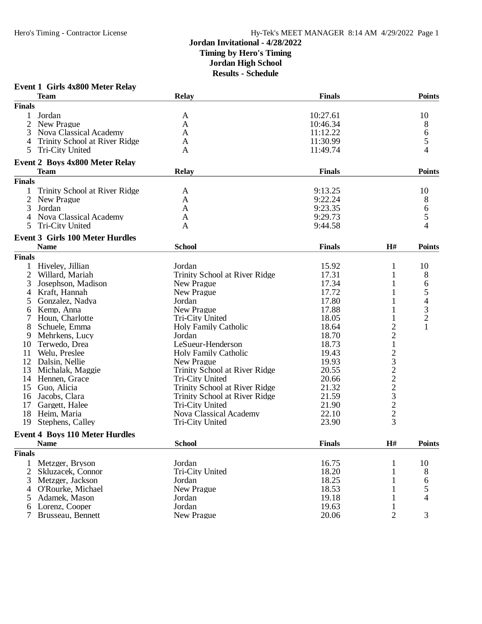#### **Event 1 Girls 4x800 Meter Relay**

|                | <b>Team</b>                            | <b>Relay</b>                  | <b>Finals</b> |                | <b>Points</b>    |
|----------------|----------------------------------------|-------------------------------|---------------|----------------|------------------|
| <b>Finals</b>  |                                        |                               |               |                |                  |
|                | Jordan                                 | A                             | 10:27.61      |                | 10               |
| 2              | New Prague                             | A                             | 10:46.34      |                | 8                |
| 3              | <b>Nova Classical Academy</b>          | A                             | 11:12.22      |                | $\boldsymbol{6}$ |
| 4              | Trinity School at River Ridge          | A                             | 11:30.99      |                | 5                |
| 5              | Tri-City United                        | A                             | 11:49.74      |                | 4                |
|                | <b>Event 2 Boys 4x800 Meter Relay</b>  |                               |               |                |                  |
|                | <b>Team</b>                            | <b>Relay</b>                  | <b>Finals</b> |                | <b>Points</b>    |
| <b>Finals</b>  |                                        |                               |               |                |                  |
|                | Trinity School at River Ridge          | A                             | 9:13.25       |                | 10               |
| 2              | New Prague                             | A                             | 9:22.24       |                | 8                |
| 3              | Jordan                                 | A                             | 9:23.35       |                | 6                |
| $\overline{4}$ | <b>Nova Classical Academy</b>          | A                             | 9:29.73       |                | 5                |
| 5              | Tri-City United                        | A                             | 9:44.58       |                | 4                |
|                |                                        |                               |               |                |                  |
|                | <b>Event 3 Girls 100 Meter Hurdles</b> |                               |               |                |                  |
|                | <b>Name</b>                            | <b>School</b>                 | <b>Finals</b> | H#             | <b>Points</b>    |
| <b>Finals</b>  |                                        |                               |               |                |                  |
|                | Hiveley, Jillian                       | Jordan                        | 15.92         | 1              | 10               |
| 2              | Willard, Mariah                        | Trinity School at River Ridge | 17.31         | $\mathbf{1}$   | 8                |
| 3              | Josephson, Madison                     | New Prague                    | 17.34         | 1              | 6                |
| 4              | Kraft, Hannah                          | New Prague                    | 17.72         | 1              | 5                |
| 5              | Gonzalez, Nadya                        | Jordan                        | 17.80         |                | 4                |
| 6              | Kemp, Anna                             | New Prague                    | 17.88         |                | 3                |
| 7              | Houn, Charlotte                        | Tri-City United               | 18.05         | 1              | $\overline{c}$   |
| 8              | Schuele, Emma                          | Holy Family Catholic          | 18.64         | 2              | $\mathbf{1}$     |
| 9              | Mehrkens, Lucy                         | Jordan                        | 18.70         | $\overline{c}$ |                  |
| 10             | Terwedo, Drea                          | LeSueur-Henderson             | 18.73         | $\mathbf{1}$   |                  |
| 11             | Welu, Preslee                          | Holy Family Catholic          | 19.43         | $\overline{c}$ |                  |
| 12             | Dalsin, Nellie                         | New Prague                    | 19.93         |                |                  |
| 13             | Michalak, Maggie                       | Trinity School at River Ridge | 20.55         |                |                  |
| 14             | Hennen, Grace                          | Tri-City United               | 20.66         |                |                  |
| 15             | Guo, Alicia                            | Trinity School at River Ridge | 21.32         |                |                  |
| 16             | Jacobs, Clara                          | Trinity School at River Ridge | 21.59         |                |                  |
| 17             | Gargett, Halee                         | Tri-City United               | 21.90         |                |                  |
| 18             | Heim, Maria                            | Nova Classical Academy        | 22.10         |                |                  |
| 19             | Stephens, Calley                       | Tri-City United               | 23.90         | 32223223       |                  |
|                | <b>Event 4 Boys 110 Meter Hurdles</b>  |                               |               |                |                  |
|                | <b>Name</b>                            | <b>School</b>                 | <b>Finals</b> | H#             | <b>Points</b>    |
| <b>Finals</b>  |                                        |                               |               |                |                  |
|                |                                        | Jordan                        | 16.75         |                |                  |
| 1<br>2         | Metzger, Bryson<br>Skluzacek, Connor   | Tri-City United               | 18.20         |                | 10<br>8          |
|                |                                        |                               | 18.25         |                |                  |
| 3              | Metzger, Jackson                       | Jordan                        |               |                | 6                |
| 4              | O'Rourke, Michael                      | New Prague                    | 18.53         |                | 5                |
| 5              | Adamek, Mason                          | Jordan                        | 19.18         |                | 4                |
| 6              | Lorenz, Cooper                         | Jordan                        | 19.63         | 1              |                  |
|                | Brusseau, Bennett                      | New Prague                    | 20.06         | $\overline{2}$ | 3                |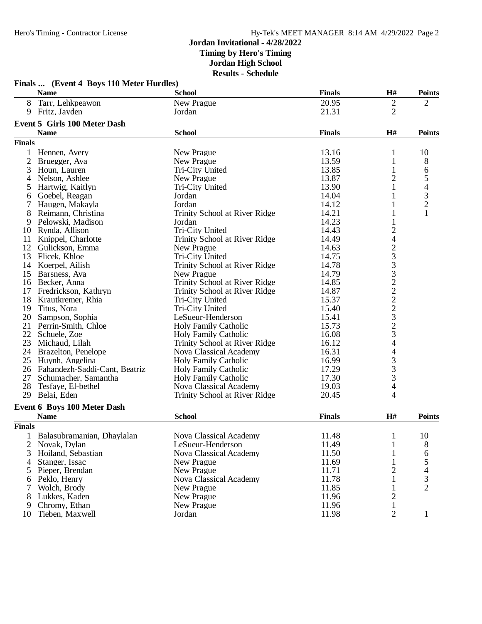|                | Finals  (Event 4 Boys 110 Meter Hurdles) |                               |               |                                            |                          |
|----------------|------------------------------------------|-------------------------------|---------------|--------------------------------------------|--------------------------|
|                | <b>Name</b>                              | <b>School</b>                 | <b>Finals</b> | H#                                         | <b>Points</b>            |
| 8              | Tarr, Lehkpeawon                         | New Prague                    | 20.95         | 2                                          | 2                        |
| 9              | Fritz, Jayden                            | Jordan                        | 21.31         | 2                                          |                          |
|                | <b>Event 5 Girls 100 Meter Dash</b>      |                               |               |                                            |                          |
|                | <b>Name</b>                              | <b>School</b>                 | <b>Finals</b> | H#                                         | <b>Points</b>            |
| <b>Finals</b>  |                                          |                               |               |                                            |                          |
| 1              | Hennen, Avery                            | New Prague                    | 13.16         | 1                                          | 10                       |
| $\overline{2}$ | Bruegger, Ava                            | New Prague                    | 13.59         | $\mathbf{1}$                               | 8                        |
| 3              | Houn, Lauren                             | Tri-City United               | 13.85         | 1                                          | 6                        |
| 4              | Nelson, Ashlee                           | New Prague                    | 13.87         | $\overline{c}$                             | 5                        |
| 5              | Hartwig, Kaitlyn                         | Tri-City United               | 13.90         | 1                                          | $\overline{\mathcal{L}}$ |
| 6              | Goebel, Reagan                           | Jordan                        | 14.04         | 1                                          |                          |
| 7              | Haugen, Makayla                          | Jordan                        | 14.12         | 1                                          | $\frac{3}{2}$            |
| 8              | Reimann, Christina                       | Trinity School at River Ridge | 14.21         | 1                                          | $\mathbf{1}$             |
| 9              | Pelowski, Madison                        | Jordan                        | 14.23         | 1                                          |                          |
| 10             | Rynda, Allison                           | Tri-City United               | 14.43         | $\overline{\mathbf{c}}$                    |                          |
| 11             | Knippel, Charlotte                       | Trinity School at River Ridge | 14.49         | $\overline{\mathcal{L}}$                   |                          |
| 12             | Gulickson, Emma                          | New Prague                    | 14.63         |                                            |                          |
| 13             | Flicek, Khloe                            | Tri-City United               | 14.75         |                                            |                          |
| 14             | Koerpel, Ailish                          | Trinity School at River Ridge | 14.78         | 23332222323                                |                          |
| 15             | Barsness, Ava                            | New Prague                    | 14.79         |                                            |                          |
| 16             | Becker, Anna                             | Trinity School at River Ridge | 14.85         |                                            |                          |
| 17             | Fredrickson, Kathryn                     | Trinity School at River Ridge | 14.87         |                                            |                          |
| 18             | Krautkremer, Rhia                        | Tri-City United               | 15.37         |                                            |                          |
| 19             | Titus, Nora                              | Tri-City United               | 15.40         |                                            |                          |
| 20             | Sampson, Sophia                          | LeSueur-Henderson             | 15.41         |                                            |                          |
| 21             | Perrin-Smith, Chloe                      | <b>Holy Family Catholic</b>   | 15.73         |                                            |                          |
| 22             | Schuele, Zoe                             | <b>Holy Family Catholic</b>   | 16.08         |                                            |                          |
| 23             | Michaud, Lilah                           | Trinity School at River Ridge | 16.12         | $\overline{4}$                             |                          |
| 24             | Brazelton, Penelope                      | Nova Classical Academy        | 16.31         | 4                                          |                          |
| 25             | Huynh, Angelina                          | <b>Holy Family Catholic</b>   | 16.99         |                                            |                          |
|                | 26 Fahandezh-Saddi-Cant, Beatriz         | <b>Holy Family Catholic</b>   | 17.29         |                                            |                          |
| 27             | Schumacher, Samantha                     | <b>Holy Family Catholic</b>   | 17.30         | $\begin{array}{c} 3 \\ 3 \\ 3 \end{array}$ |                          |
| 28             | Tesfaye, El-bethel                       | Nova Classical Academy        | 19.03         | $\overline{\mathcal{L}}$                   |                          |
| 29             | Belai, Eden                              | Trinity School at River Ridge | 20.45         | 4                                          |                          |
|                |                                          |                               |               |                                            |                          |
|                | Event 6 Boys 100 Meter Dash              |                               |               |                                            |                          |
|                | <b>Name</b>                              | <b>School</b>                 | <b>Finals</b> | H#                                         | <b>Points</b>            |
| <b>Finals</b>  |                                          |                               |               |                                            |                          |
|                | Balasubramanian, Dhaylalan               | Nova Classical Academy        | 11.48         | $\mathbf{1}$                               | 10                       |
| 2              | Novak, Dylan                             | LeSueur-Henderson             | 11.49         | 1                                          | 8                        |
| 3              | Hoiland, Sebastian                       | Nova Classical Academy        | 11.50         | 1                                          | 6                        |
| 4              | Stanger, Issac                           | New Prague                    | 11.69         |                                            | 5                        |
| 5              | Pieper, Brendan                          | New Prague                    | 11.71         | 2                                          | 4                        |
| 6              | Peklo, Henry                             | Nova Classical Academy        | 11.78         | 1                                          | 3                        |
| 7              | Wolch, Brody                             | New Prague                    | 11.85         | 1                                          | $\overline{2}$           |
| 8              | Lukkes, Kaden                            | New Prague                    | 11.96         | $\overline{c}$                             |                          |
| 9              | Chromy, Ethan                            | New Prague                    | 11.96         | $\mathbf{1}$                               |                          |
| 10             | Tieben, Maxwell                          | Jordan                        | 11.98         | $\overline{2}$                             | 1                        |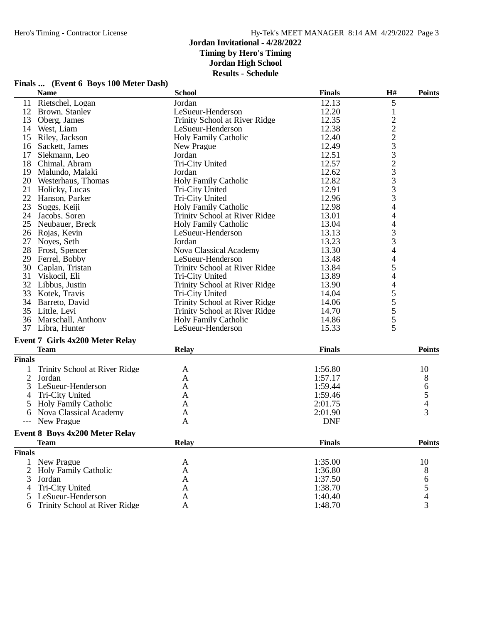|                | <b>Name</b>                            | <b>School</b>                 | <b>Finals</b> | H#                                         | <b>Points</b>                         |
|----------------|----------------------------------------|-------------------------------|---------------|--------------------------------------------|---------------------------------------|
|                | 11 Rietschel, Logan                    | Jordan                        | 12.13         | 5                                          |                                       |
|                | 12 Brown, Stanley                      | LeSueur-Henderson             | 12.20         | $\mathbf{1}$                               |                                       |
| 13             | Oberg, James                           | Trinity School at River Ridge | 12.35         |                                            |                                       |
|                | 14 West, Liam                          | LeSueur-Henderson             | 12.38         | $\frac{2}{2}$                              |                                       |
|                | 15 Riley, Jackson                      | <b>Holy Family Catholic</b>   | 12.40         | $\overline{c}$                             |                                       |
|                | 16 Sackett, James                      | New Prague                    | 12.49         |                                            |                                       |
|                | 17 Siekmann, Leo                       | Jordan                        | 12.51         | $\frac{3}{3}$                              |                                       |
|                | 18 Chimal, Abram                       | Tri-City United               | 12.57         | $\overline{c}$                             |                                       |
|                | 19 Malundo, Malaki                     | Jordan                        | 12.62         | 3                                          |                                       |
|                | 20 Westerhaus, Thomas                  | <b>Holy Family Catholic</b>   | 12.82         | 3                                          |                                       |
|                | 21 Holicky, Lucas                      | Tri-City United               | 12.91         | 3                                          |                                       |
|                | 22 Hanson, Parker                      |                               | 12.96         | 3                                          |                                       |
|                |                                        | Tri-City United               |               |                                            |                                       |
|                | 23 Suggs, Keiji                        | <b>Holy Family Catholic</b>   | 12.98         | 4                                          |                                       |
|                | 24 Jacobs, Soren                       | Trinity School at River Ridge | 13.01         | 4                                          |                                       |
|                | 25 Neubauer, Breck                     | Holy Family Catholic          | 13.04         | 4                                          |                                       |
|                | 26 Rojas, Kevin                        | LeSueur-Henderson             | 13.13         | 3                                          |                                       |
|                | 27 Noyes, Seth                         | Jordan                        | 13.23         | 3                                          |                                       |
|                | 28 Frost, Spencer                      | Nova Classical Academy        | 13.30         | $\overline{4}$                             |                                       |
|                | 29 Ferrel, Bobby                       | LeSueur-Henderson             | 13.48         | $\overline{4}$                             |                                       |
|                | 30 Caplan, Tristan                     | Trinity School at River Ridge | 13.84         | 5                                          |                                       |
|                | 31 Viskocil, Eli                       | Tri-City United               | 13.89         | $\overline{\mathcal{L}}$                   |                                       |
|                | 32 Libbus, Justin                      | Trinity School at River Ridge | 13.90         | 4                                          |                                       |
|                | 33 Kotek, Travis                       | Tri-City United               | 14.04         | 5                                          |                                       |
|                | 34 Barreto, David                      | Trinity School at River Ridge | 14.06         |                                            |                                       |
|                | 35 Little, Levi                        | Trinity School at River Ridge | 14.70         | $\begin{array}{c} 5 \\ 5 \\ 5 \end{array}$ |                                       |
|                | 36 Marschall, Anthony                  | <b>Holy Family Catholic</b>   | 14.86         |                                            |                                       |
| 37             | Libra, Hunter                          | LeSueur-Henderson             | 15.33         | 5                                          |                                       |
|                | <b>Event 7 Girls 4x200 Meter Relay</b> |                               |               |                                            |                                       |
|                | <b>Team</b>                            | <b>Relay</b>                  | <b>Finals</b> |                                            | Points                                |
| <b>Finals</b>  |                                        |                               |               |                                            |                                       |
|                |                                        |                               |               |                                            |                                       |
|                | Trinity School at River Ridge          | A                             | 1:56.80       |                                            | 10                                    |
| $\overline{2}$ | Jordan                                 | A                             | 1:57.17       |                                            | 8                                     |
| 3              | LeSueur-Henderson                      | A                             | 1:59.44       |                                            | $\begin{array}{c} 6 \\ 5 \end{array}$ |
| 4              | Tri-City United                        | A                             | 1:59.46       |                                            |                                       |
| 5              | <b>Holy Family Catholic</b>            | A                             | 2:01.75       |                                            | $\overline{4}$                        |
| 6              | Nova Classical Academy                 | $\mathbf{A}$                  | 2:01.90       |                                            | 3                                     |
|                | New Prague                             | A                             | <b>DNF</b>    |                                            |                                       |
|                | Event 8 Boys 4x200 Meter Relay         |                               |               |                                            |                                       |
|                | <b>Team</b>                            | <b>Relay</b>                  | <b>Finals</b> |                                            | <b>Points</b>                         |
| <b>Finals</b>  |                                        |                               |               |                                            |                                       |
| $\mathbf{1}$   | New Prague                             | A                             | 1:35.00       |                                            | 10                                    |
| 2              | <b>Holy Family Catholic</b>            | A                             | 1:36.80       |                                            | $8\,$                                 |
| 3              | Jordan                                 | A                             | 1:37.50       |                                            | $\sqrt{6}$                            |
| $\overline{4}$ | Tri-City United                        | $\mathbf{A}$                  | 1:38.70       |                                            | 5                                     |
| 5              | LeSueur-Henderson                      | $\mathbf{A}$                  | 1:40.40       |                                            | 4                                     |
| 6              | Trinity School at River Ridge          | $\mathbf{A}$                  | 1:48.70       |                                            | 3                                     |
|                |                                        |                               |               |                                            |                                       |

# **Finals ... (Event 6 Boys 100 Meter Dash)**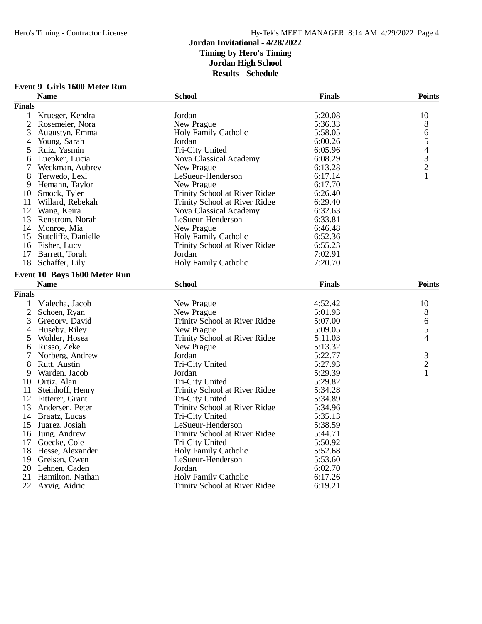# **Event 9 Girls 1600 Meter Run**

|                | <b>Name</b>                                 | <b>School</b>                 | <b>Finals</b> | <b>Points</b>                              |
|----------------|---------------------------------------------|-------------------------------|---------------|--------------------------------------------|
| <b>Finals</b>  |                                             |                               |               |                                            |
| 1              | Krueger, Kendra                             | Jordan                        | 5:20.08       | 10                                         |
| $\overline{2}$ | Rosemeier, Nora                             | New Prague                    | 5:36.33       | 8                                          |
| 3              | Augustyn, Emma                              | <b>Holy Family Catholic</b>   | 5:58.05       | 6                                          |
| 4              | Young, Sarah                                | Jordan                        | 6:00.26       | 5                                          |
| 5              | Ruiz, Yasmin                                | Tri-City United               | 6:05.96       |                                            |
| 6              | Luepker, Lucia                              | Nova Classical Academy        | 6:08.29       | $\begin{array}{c} 4 \\ 3 \\ 2 \end{array}$ |
| 7              | Weckman, Aubrey                             | <b>New Prague</b>             | 6:13.28       |                                            |
| 8              | Terwedo, Lexi                               | LeSueur-Henderson             | 6:17.14       | $\mathbf{1}$                               |
| 9              | Hemann, Taylor                              | New Prague                    | 6:17.70       |                                            |
| 10             | Smock, Tyler                                | Trinity School at River Ridge | 6:26.40       |                                            |
|                | 11 Willard, Rebekah                         | Trinity School at River Ridge | 6:29.40       |                                            |
| 12             | Wang, Keira                                 | Nova Classical Academy        | 6:32.63       |                                            |
|                | 13 Renstrom, Norah                          | LeSueur-Henderson             | 6:33.81       |                                            |
|                | 14 Monroe, Mia                              | New Prague                    | 6:46.48       |                                            |
| 15             | Sutcliffe, Danielle                         | <b>Holy Family Catholic</b>   | 6:52.36       |                                            |
|                | 16 Fisher, Lucy                             | Trinity School at River Ridge | 6:55.23       |                                            |
| 17             | Barrett, Torah                              | Jordan                        | 7:02.91       |                                            |
| 18             | Schaffer, Lily                              | <b>Holy Family Catholic</b>   | 7:20.70       |                                            |
|                |                                             |                               |               |                                            |
|                | Event 10 Boys 1600 Meter Run<br><b>Name</b> | <b>School</b>                 | <b>Finals</b> | <b>Points</b>                              |
| <b>Finals</b>  |                                             |                               |               |                                            |
|                |                                             |                               |               |                                            |
| 1              | Malecha, Jacob                              | New Prague                    | 4:52.42       | 10                                         |
| $\overline{2}$ | Schoen, Ryan                                | New Prague                    | 5:01.93       | 8                                          |
| 3              | Gregory, David                              | Trinity School at River Ridge | 5:07.00       | 6                                          |
| 4              | Huseby, Riley                               | New Prague                    | 5:09.05       | 5                                          |
| 5              | Wohler, Hosea                               | Trinity School at River Ridge | 5:11.03       | $\overline{4}$                             |
| 6              | Russo, Zeke                                 | New Prague                    | 5:13.32       |                                            |
| 7              | Norberg, Andrew                             | Jordan                        | 5:22.77       | 3                                          |
| 8              | Rutt, Austin                                | Tri-City United               | 5:27.93       | $\overline{c}$                             |
| 9              | Warden, Jacob                               | Jordan                        | 5:29.39       | $\mathbf{1}$                               |
| 10             | Ortiz, Alan                                 | Tri-City United               | 5:29.82       |                                            |
| 11             | Steinhoff, Henry                            | Trinity School at River Ridge | 5:34.28       |                                            |
|                | 12 Fitterer, Grant                          | Tri-City United               | 5:34.89       |                                            |
| 13             | Andersen, Peter                             | Trinity School at River Ridge | 5:34.96       |                                            |
|                | 14 Braatz, Lucas                            | Tri-City United               | 5:35.13       |                                            |
| 15             | Juarez, Josiah                              | LeSueur-Henderson             | 5:38.59       |                                            |
| 16             | Jung, Andrew                                | Trinity School at River Ridge | 5:44.71       |                                            |
| 17             | Goecke, Cole                                | Tri-City United               | 5:50.92       |                                            |
|                | 18 Hesse, Alexander                         | <b>Holy Family Catholic</b>   | 5:52.68       |                                            |
| 19             | Greisen, Owen                               | LeSueur-Henderson             | 5:53.60       |                                            |
| 20             | Lehnen, Caden                               | Jordan                        | 6:02.70       |                                            |
| 21             | Hamilton, Nathan                            | <b>Holy Family Catholic</b>   | 6:17.26       |                                            |
| 22             | Axvig, Aidric                               | Trinity School at River Ridge | 6:19.21       |                                            |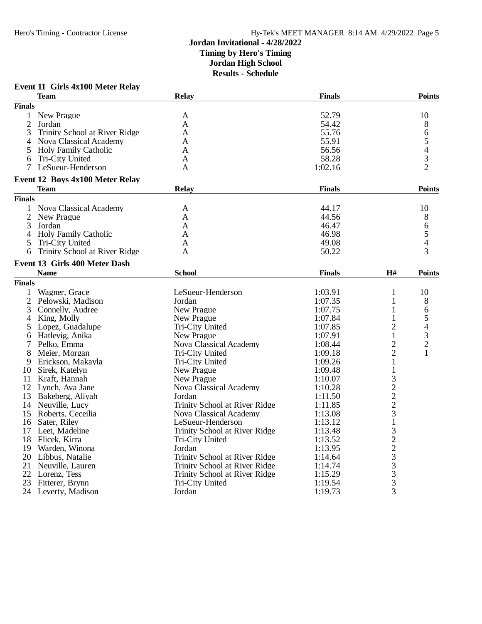# **Event 11 Girls 4x100 Meter Relay**

|                | <b>Team</b>                     | <b>Relay</b>                  | <b>Finals</b> |                   | <b>Points</b>            |
|----------------|---------------------------------|-------------------------------|---------------|-------------------|--------------------------|
| <b>Finals</b>  |                                 |                               |               |                   |                          |
| 1              | New Prague                      | A                             | 52.79         |                   | 10                       |
| 2              | Jordan                          | A                             | 54.42         |                   | 8                        |
| 3              | Trinity School at River Ridge   | A                             | 55.76         |                   | 6                        |
| 4              | Nova Classical Academy          | A                             | 55.91         |                   | 5                        |
| 5              | <b>Holy Family Catholic</b>     | A                             | 56.56         |                   | $\overline{\mathcal{L}}$ |
| 6              | Tri-City United                 | A                             | 58.28         |                   | 3                        |
| 7              | LeSueur-Henderson               | A                             | 1:02.16       |                   | $\overline{2}$           |
|                | Event 12 Boys 4x100 Meter Relay |                               |               |                   |                          |
|                | Team                            | <b>Relay</b>                  | <b>Finals</b> |                   | <b>Points</b>            |
|                |                                 |                               |               |                   |                          |
| <b>Finals</b>  |                                 |                               |               |                   |                          |
|                | 1 Nova Classical Academy        | A                             | 44.17         |                   | 10                       |
| $\overline{2}$ | New Prague                      | A                             | 44.56         |                   | 8                        |
| 3              | Jordan                          | A                             | 46.47         |                   | 6                        |
| 4              | <b>Holy Family Catholic</b>     | A                             | 46.98         |                   | 5                        |
| 5              | Tri-City United                 | A                             | 49.08         |                   | $\overline{4}$           |
| 6              | Trinity School at River Ridge   | A                             | 50.22         |                   | 3                        |
|                | Event 13 Girls 400 Meter Dash   |                               |               |                   |                          |
|                | <b>Name</b>                     | <b>School</b>                 | <b>Finals</b> | H#                | <b>Points</b>            |
| <b>Finals</b>  |                                 |                               |               |                   |                          |
| 1              | Wagner, Grace                   | LeSueur-Henderson             | 1:03.91       | $\mathbf{1}$      | 10                       |
| $\mathfrak{2}$ | Pelowski, Madison               | Jordan                        | 1:07.35       | 1                 | 8                        |
| 3              | Connelly, Audree                | New Prague                    | 1:07.75       | 1                 | 6                        |
| 4              | King, Molly                     | New Prague                    | 1:07.84       | 1                 | 5                        |
| 5              | Lopez, Guadalupe                | Tri-City United               | 1:07.85       | 2                 | 4                        |
| 6              | Hatlevig, Anika                 | New Prague                    | 1:07.91       | 1                 | 3                        |
| 7              | Pelko, Emma                     | Nova Classical Academy        | 1:08.44       | 2                 | $\overline{c}$           |
| 8              | Meier, Morgan                   | Tri-City United               | 1:09.18       | $\overline{2}$    | $\mathbf{1}$             |
| 9              | Erickson, Makayla               | Tri-City United               | 1:09.26       | $\mathbf{1}$      |                          |
| 10             | Sirek, Katelyn                  | New Prague                    | 1:09.48       |                   |                          |
|                | Kraft, Hannah                   | New Prague                    | 1:10.07       | $\mathbf{1}$<br>3 |                          |
| 11             |                                 |                               |               |                   |                          |
|                | 12 Lynch, Ava Jane              | Nova Classical Academy        | 1:10.28       | $\frac{2}{2}$     |                          |
|                | 13 Bakeberg, Aliyah             | Jordan                        | 1:11.50       |                   |                          |
|                | 14 Neuville, Lucy               | Trinity School at River Ridge | 1:11.85       |                   |                          |
| 15             | Roberts, Ceceilia               | Nova Classical Academy        | 1:13.08       | 3                 |                          |
| 16             | Sater, Riley                    | LeSueur-Henderson             | 1:13.12       | $\mathbf{1}$      |                          |
|                | 17 Leet, Madeline               | Trinity School at River Ridge | 1:13.48       |                   |                          |
|                | 18 Flicek, Kirra                | Tri-City United               | 1:13.52       |                   |                          |
|                | 19 Warden, Winona               | Jordan                        | 1:13.95       |                   |                          |
|                | 20 Libbus, Natalie              | Trinity School at River Ridge | 1:14.64       |                   |                          |
| 21             | Neuville, Lauren                | Trinity School at River Ridge | 1:14.74       | 32233333          |                          |
| 22             | Lorenz, Tess                    | Trinity School at River Ridge | 1:15.29       |                   |                          |
| 23             | Fitterer, Brynn                 | Tri-City United               | 1:19.54       |                   |                          |
|                | 24 Leverty, Madison             | Jordan                        | 1:19.73       | $\overline{3}$    |                          |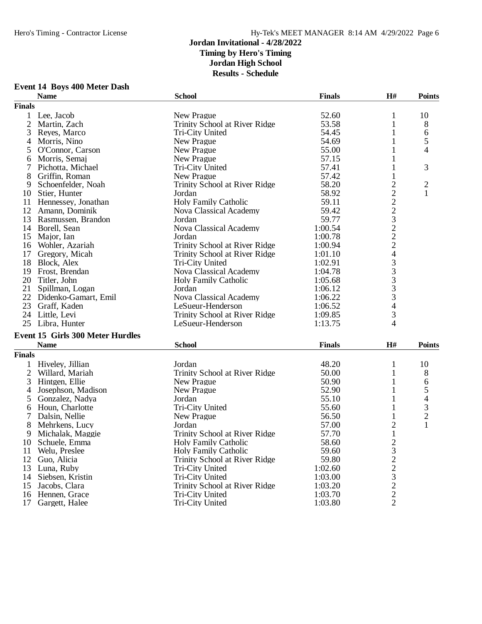# **Event 14 Boys 400 Meter Dash**

|                | <b>Name</b>                      | <b>School</b>                 | <b>Finals</b> | H#                                         | <b>Points</b>  |
|----------------|----------------------------------|-------------------------------|---------------|--------------------------------------------|----------------|
| <b>Finals</b>  |                                  |                               |               |                                            |                |
| 1              | Lee, Jacob                       | New Prague                    | 52.60         | 1                                          | 10             |
| $\overline{2}$ | Martin, Zach                     | Trinity School at River Ridge | 53.58         | 1                                          | 8              |
| 3              | Reyes, Marco                     | Tri-City United               | 54.45         | 1                                          | 6              |
| 4              | Morris, Nino                     | New Prague                    | 54.69         | 1                                          | 5              |
| 5              | O'Connor, Carson                 | New Prague                    | 55.00         | 1                                          | 4              |
| 6              | Morris, Semaj                    | New Prague                    | 57.15         | 1                                          |                |
| 7              | Pichotta, Michael                | Tri-City United               | 57.41         | 1                                          | 3              |
| 8              | Griffin, Roman                   | New Prague                    | 57.42         | 1                                          |                |
| 9              | Schoenfelder, Noah               | Trinity School at River Ridge | 58.20         |                                            | 2              |
| 10             | Stier, Hunter                    | Jordan                        | 58.92         | $2222$<br>$2322$<br>$222$                  | 1              |
| 11             | Hennessey, Jonathan              | <b>Holy Family Catholic</b>   | 59.11         |                                            |                |
| 12             | Amann, Dominik                   | Nova Classical Academy        | 59.42         |                                            |                |
| 13             | Rasmussen, Brandon               | Jordan                        | 59.77         |                                            |                |
|                | 14 Borell, Sean                  | Nova Classical Academy        | 1:00.54       |                                            |                |
| 15             | Major, Ian                       | Jordan                        | 1:00.78       |                                            |                |
|                |                                  |                               |               |                                            |                |
| 16             | Wohler, Azariah                  | Trinity School at River Ridge | 1:00.94       |                                            |                |
| 17             | Gregory, Micah                   | Trinity School at River Ridge | 1:01.10       | $\overline{4}$                             |                |
| 18             | Block, Alex                      | Tri-City United               | 1:02.91       | 3                                          |                |
| 19             | Frost, Brendan                   | Nova Classical Academy        | 1:04.78       | $\begin{array}{c} 3 \\ 3 \\ 3 \end{array}$ |                |
|                | 20 Titler, John                  | <b>Holy Family Catholic</b>   | 1:05.68       |                                            |                |
| 21             | Spillman, Logan                  | Jordan                        | 1:06.12       |                                            |                |
| 22             | Didenko-Gamart, Emil             | Nova Classical Academy        | 1:06.22       | $\overline{3}$                             |                |
| 23             | Graff, Kaden                     | LeSueur-Henderson             | 1:06.52       | $\overline{4}$                             |                |
|                | 24 Little, Levi                  | Trinity School at River Ridge | 1:09.85       | 3                                          |                |
|                | 25 Libra, Hunter                 | LeSueur-Henderson             | 1:13.75       | 4                                          |                |
|                | Event 15 Girls 300 Meter Hurdles |                               |               |                                            |                |
|                | <b>Name</b>                      | <b>School</b>                 | <b>Finals</b> | H#                                         | <b>Points</b>  |
| <b>Finals</b>  |                                  |                               |               |                                            |                |
| 1              | Hiveley, Jillian                 | Jordan                        | 48.20         | 1                                          | 10             |
| $\overline{2}$ | Willard, Mariah                  | Trinity School at River Ridge | 50.00         | 1                                          | 8              |
| 3              | Hintgen, Ellie                   | New Prague                    | 50.90         | $\mathbf{1}$                               | 6              |
| 4              | Josephson, Madison               | New Prague                    | 52.90         | $\mathbf 1$                                | 5              |
| 5              | Gonzalez, Nadya                  | Jordan                        | 55.10         | $\mathbf 1$                                | 4              |
| 6              | Houn, Charlotte                  | Tri-City United               | 55.60         | 1                                          | 3              |
|                |                                  | New Prague                    | 56.50         |                                            | $\overline{c}$ |
| 7              | Dalsin, Nellie                   | Jordan                        |               | 1<br>$\overline{2}$                        | 1              |
| 8              | Mehrkens, Lucy                   |                               | 57.00         |                                            |                |
| 9              | Michalak, Maggie                 | Trinity School at River Ridge | 57.70         | $\mathbf{1}$                               |                |
| 10             | Schuele, Emma                    | <b>Holy Family Catholic</b>   | 58.60         | $\overline{2}$                             |                |
| 11             | Welu, Preslee                    | <b>Holy Family Catholic</b>   | 59.60         | 3                                          |                |
| 12             | Guo, Alicia                      | Trinity School at River Ridge | 59.80         | $\overline{c}$                             |                |
| 13             | Luna, Ruby                       | Tri-City United               | 1:02.60       | $\overline{c}$                             |                |
| 14             | Siebsen, Kristin                 | Tri-City United               | 1:03.00       | 3                                          |                |
| 15             | Jacobs, Clara                    | Trinity School at River Ridge | 1:03.20       | $\overline{c}$                             |                |
| 16             | Hennen, Grace                    | Tri-City United               | 1:03.70       | $\sqrt{2}$                                 |                |
| 17             | Gargett, Halee                   | Tri-City United               | 1:03.80       | $\overline{2}$                             |                |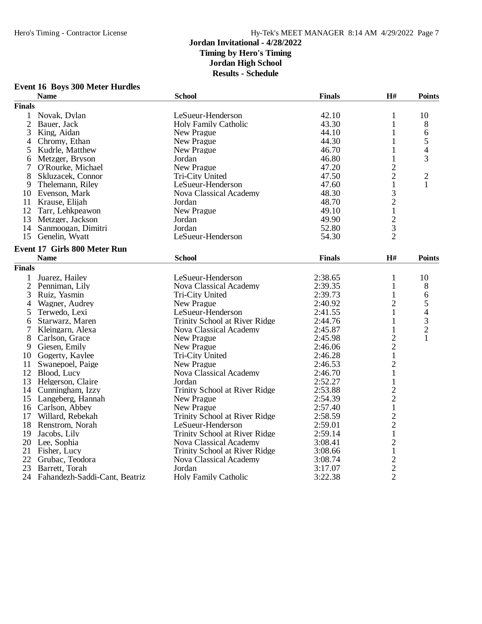# **Event 16 Boys 300 Meter Hurdles**

|                | <b>Name</b>                         | <b>School</b>                 | <b>Finals</b> | H#             | <b>Points</b> |
|----------------|-------------------------------------|-------------------------------|---------------|----------------|---------------|
| <b>Finals</b>  |                                     |                               |               |                |               |
| $\mathbf{1}$   | Novak, Dylan                        | LeSueur-Henderson             | 42.10         | 1              | 10            |
| $\overline{2}$ | Bauer, Jack                         | <b>Holy Family Catholic</b>   | 43.30         | $\mathbf{1}$   | 8             |
| 3              | King, Aidan                         | New Prague                    | 44.10         | $\mathbf{1}$   | 6             |
| 4              | Chromy, Ethan                       | New Prague                    | 44.30         | 1              | 5             |
| 5              | Kudrle, Matthew                     | New Prague                    | 46.70         | 1              | 4             |
| 6              | Metzger, Bryson                     | Jordan                        | 46.80         | $\mathbf{1}$   | 3             |
| 7              | O'Rourke, Michael                   | New Prague                    | 47.20         | $\overline{c}$ |               |
| 8              | Skluzacek, Connor                   | Tri-City United               | 47.50         | $\overline{2}$ | $\sqrt{2}$    |
| 9              | Thelemann, Riley                    | LeSueur-Henderson             | 47.60         | $\mathbf{1}$   | $\mathbf{1}$  |
|                | 10 Evenson, Mark                    | Nova Classical Academy        | 48.30         |                |               |
|                | 11 Krause, Elijah                   | Jordan                        | 48.70         | $\frac{3}{2}$  |               |
| 12             | Tarr, Lehkpeawon                    | New Prague                    | 49.10         |                |               |
| 13             | Metzger, Jackson                    | Jordan                        | 49.90         | $\frac{1}{2}$  |               |
| 14             | Sanmoogan, Dimitri                  | Jordan                        | 52.80         |                |               |
|                | 15 Genelin, Wyatt                   | LeSueur-Henderson             | 54.30         | $\overline{2}$ |               |
|                | <b>Event 17 Girls 800 Meter Run</b> |                               |               |                |               |
|                | <b>Name</b>                         | <b>School</b>                 | <b>Finals</b> | $\mathbf{H}$ # | <b>Points</b> |
|                |                                     |                               |               |                |               |
| <b>Finals</b>  |                                     |                               |               |                |               |
| $\mathbf{1}$   | Juarez, Hailey                      | LeSueur-Henderson             | 2:38.65       | 1              | 10            |
| $\overline{2}$ | Penniman, Lily                      | Nova Classical Academy        | 2:39.35       | 1              | 8             |
| 3              | Ruiz, Yasmin                        | Tri-City United               | 2:39.73       | $\mathbf{1}$   | 6             |
| 4              | Wagner, Audrey                      | New Prague                    | 2:40.92       | 2              | $\frac{5}{4}$ |
| 5              | Terwedo, Lexi                       | LeSueur-Henderson             | 2:41.55       | $\mathbf{1}$   |               |
| 6              | Starwarz, Maren                     | Trinity School at River Ridge | 2:44.76       | $\mathbf{1}$   | $\frac{3}{2}$ |
| 7              | Kleingarn, Alexa                    | Nova Classical Academy        | 2:45.87       | $\mathbf{1}$   |               |
| 8              | Carlson, Grace                      | New Prague                    | 2:45.98       | $\overline{2}$ | $\mathbf{1}$  |
| 9              | Giesen, Emily                       | New Prague                    | 2:46.06       | $\overline{c}$ |               |
| 10             | Gogerty, Kaylee                     | Tri-City United               | 2:46.28       | $\mathbf{1}$   |               |
| 11             | Swanepoel, Paige                    | New Prague                    | 2:46.53       | $\overline{c}$ |               |
|                | 12 Blood, Lucy                      | Nova Classical Academy        | 2:46.70       | $\mathbf{1}$   |               |
| 13             | Helgerson, Claire                   | Jordan                        | 2:52.27       | $\mathbf{1}$   |               |
| 14             | Cunningham, Izzy                    | Trinity School at River Ridge | 2:53.88       | $\overline{2}$ |               |
|                | 15 Langeberg, Hannah                | New Prague                    | 2:54.39       | $\overline{c}$ |               |
|                | 16 Carlson, Abbey                   | New Prague                    | 2:57.40       | $\mathbf{1}$   |               |
| 17             | Willard, Rebekah                    | Trinity School at River Ridge | 2:58.59       | $\overline{c}$ |               |
|                | 18 Renstrom, Norah                  | LeSueur-Henderson             | 2:59.01       | $\overline{c}$ |               |
| 19             | Jacobs, Lily                        | Trinity School at River Ridge | 2:59.14       | $\mathbf{1}$   |               |
| 20             | Lee, Sophia                         | Nova Classical Academy        | 3:08.41       | $\frac{2}{1}$  |               |
| 21             | Fisher, Lucy                        | Trinity School at River Ridge | 3:08.66       |                |               |
| 22             | Grubac, Teodora                     | Nova Classical Academy        | 3:08.74       |                |               |
| 23             | Barrett, Torah                      | Jordan                        | 3:17.07       | $\frac{2}{2}$  |               |
| 24             | Fahandezh-Saddi-Cant, Beatriz       | <b>Holy Family Catholic</b>   | 3:22.38       |                |               |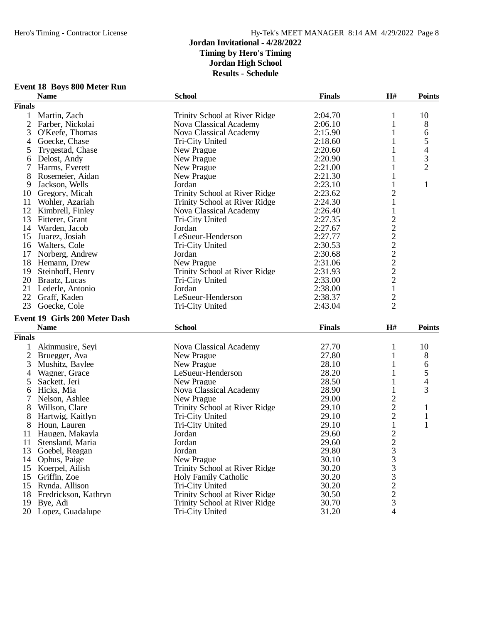| <b>Event 18 Boys 800 Meter Run</b> |  |  |  |  |
|------------------------------------|--|--|--|--|
|------------------------------------|--|--|--|--|

|                | Event to Boys ouu meter kun   |                               |               |                                            |                          |
|----------------|-------------------------------|-------------------------------|---------------|--------------------------------------------|--------------------------|
|                | <b>Name</b>                   | <b>School</b>                 | <b>Finals</b> | H#                                         | <b>Points</b>            |
| <b>Finals</b>  |                               |                               |               |                                            |                          |
| 1              | Martin, Zach                  | Trinity School at River Ridge | 2:04.70       | 1                                          | 10                       |
| $\mathfrak{2}$ | Farber, Nickolai              | Nova Classical Academy        | 2:06.10       | 1                                          | 8                        |
| 3              | O'Keefe, Thomas               | Nova Classical Academy        | 2:15.90       | 1                                          | 6                        |
| 4              | Goecke, Chase                 | Tri-City United               | 2:18.60       | 1                                          | 5                        |
| 5              | Trygestad, Chase              | New Prague                    | 2:20.60       | 1                                          | $\overline{\mathcal{L}}$ |
| 6              | Delost, Andy                  | New Prague                    | 2:20.90       | 1                                          | $\overline{3}$           |
| 7              | Harms, Everett                | New Prague                    | 2:21.00       | 1                                          | $\overline{2}$           |
| 8              | Rosemeier, Aidan              | New Prague                    | 2:21.30       | 1                                          |                          |
| 9              | Jackson, Wells                | Jordan                        | 2:23.10       | 1                                          | 1                        |
|                | 10 Gregory, Micah             | Trinity School at River Ridge | 2:23.62       | 2                                          |                          |
| 11             | Wohler, Azariah               | Trinity School at River Ridge | 2:24.30       | 1                                          |                          |
| 12             | Kimbrell, Finley              | Nova Classical Academy        | 2:26.40       | 1                                          |                          |
| 13             | Fitterer, Grant               | Tri-City United               | 2:27.35       |                                            |                          |
|                | 14 Warden, Jacob              | Jordan                        | 2:27.67       |                                            |                          |
| 15             | Juarez, Josiah                | LeSueur-Henderson             | 2:27.77       |                                            |                          |
|                |                               |                               | 2:30.53       | $\begin{array}{c} 2 \\ 2 \\ 2 \end{array}$ |                          |
|                | 16 Walters, Cole              | Tri-City United               |               |                                            |                          |
| 17             | Norberg, Andrew               | Jordan                        | 2:30.68       |                                            |                          |
| 18             | Hemann, Drew                  | New Prague                    | 2:31.06       |                                            |                          |
| 19             | Steinhoff, Henry              | Trinity School at River Ridge | 2:31.93       | $\begin{array}{c} 2 \\ 2 \\ 2 \end{array}$ |                          |
|                | 20 Braatz, Lucas              | Tri-City United               | 2:33.00       |                                            |                          |
| 21             | Lederle, Antonio              | Jordan                        | 2:38.00       | $\mathbf{1}$                               |                          |
|                | 22 Graff, Kaden               | LeSueur-Henderson             | 2:38.37       | $\overline{c}$                             |                          |
| 23             | Goecke, Cole                  | Tri-City United               | 2:43.04       | $\overline{2}$                             |                          |
|                | Event 19 Girls 200 Meter Dash |                               |               |                                            |                          |
|                | <b>Name</b>                   | <b>School</b>                 | <b>Finals</b> | H#                                         | <b>Points</b>            |
| <b>Finals</b>  |                               |                               |               |                                            |                          |
| 1              | Akinmusire, Seyi              | Nova Classical Academy        | 27.70         | 1                                          | 10                       |
| $\overline{2}$ | Bruegger, Ava                 | New Prague                    | 27.80         | 1                                          | 8                        |
| 3              | Mushitz, Baylee               | New Prague                    | 28.10         | 1                                          | 6                        |
| 4              | Wagner, Grace                 | LeSueur-Henderson             | 28.20         |                                            | 5                        |
| 5              | Sackett, Jeri                 | New Prague                    | 28.50         | 1                                          | 4                        |
| 6              | Hicks, Mia                    | Nova Classical Academy        | 28.90         | 1                                          | 3                        |
| 7              | Nelson, Ashlee                | New Prague                    | 29.00         | $\overline{c}$                             |                          |
| 8              | Willson, Clare                | Trinity School at River Ridge | 29.10         | $\overline{c}$                             | $\mathbf{1}$             |
| 8              | Hartwig, Kaitlyn              | Tri-City United               | 29.10         | $\overline{c}$                             | $\mathbf{1}$             |
| 8              |                               |                               | 29.10         | $\mathbf 1$                                | $\mathbf{1}$             |
|                | Houn, Lauren                  | Tri-City United               |               | $\overline{2}$                             |                          |
| 11             | Haugen, Makayla               | Jordan                        | 29.60         |                                            |                          |
| 11             | Stensland, Maria              | Jordan                        | 29.60         | $\frac{2}{3}$                              |                          |
| 13             | Goebel, Reagan                | Jordan                        | 29.80         |                                            |                          |
| 14             | Ophus, Paige                  | New Prague                    | 30.10         | 3                                          |                          |
| 15             | Koerpel, Ailish               | Trinity School at River Ridge | 30.20         | 3                                          |                          |
| 15             | Griffin, Zoe                  | <b>Holy Family Catholic</b>   | 30.20         | 3                                          |                          |
| 15             | Rynda, Allison                | <b>Tri-City United</b>        | 30.20         | $\overline{c}$                             |                          |
| 18             | Fredrickson, Kathryn          | Trinity School at River Ridge | 30.50         | $\overline{c}$                             |                          |
| 19             | Bye, Adi                      | Trinity School at River Ridge | 30.70         | $\overline{3}$                             |                          |
|                | 20 Lopez, Guadalupe           | Tri-City United               | 31.20         | 4                                          |                          |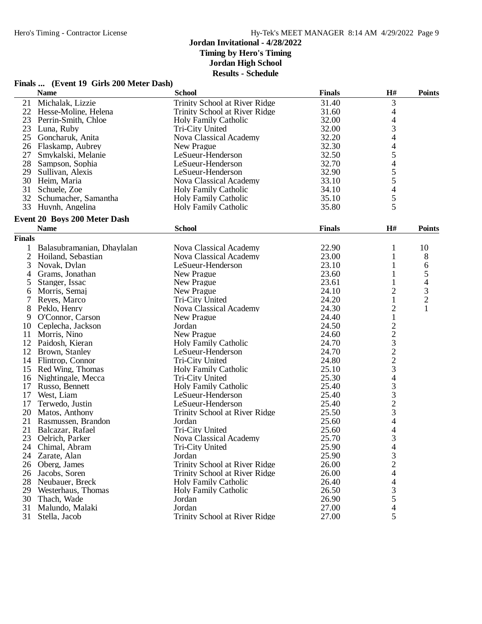#### **Jordan Invitational - 4/28/2022 Timing by Hero's Timing Jordan High School**

**Results - Schedule**

# **Finals ... (Event 19 Girls 200 Meter Dash)**

|                | <b>Name</b>                         | <b>School</b>                 | <b>Finals</b> | H#                                              | <b>Points</b>            |
|----------------|-------------------------------------|-------------------------------|---------------|-------------------------------------------------|--------------------------|
| 21             | Michalak, Lizzie                    | Trinity School at River Ridge | 31.40         | 3                                               |                          |
| 22             | Hesse-Moline, Helena                | Trinity School at River Ridge | 31.60         | 4                                               |                          |
| 23             | Perrin-Smith, Chloe                 | Holy Family Catholic          | 32.00         |                                                 |                          |
| 23             | Luna, Ruby                          | Tri-City United               | 32.00         | $\frac{4}{3}$                                   |                          |
| 25             | Goncharuk, Anita                    | Nova Classical Academy        | 32.20         | $\overline{4}$                                  |                          |
| 26             | Flaskamp, Aubrey                    | New Prague                    | 32.30         | $\overline{\mathcal{L}}$                        |                          |
| 27             | Smykalski, Melanie                  | LeSueur-Henderson             | 32.50         |                                                 |                          |
| 28             | Sampson, Sophia                     | LeSueur-Henderson             | 32.70         | 54554                                           |                          |
| 29             | Sullivan, Alexis                    | LeSueur-Henderson             | 32.90         |                                                 |                          |
| 30             | Heim, Maria                         | Nova Classical Academy        | 33.10         |                                                 |                          |
| 31             | Schuele, Zoe                        | <b>Holy Family Catholic</b>   | 34.10         |                                                 |                          |
| 32             | Schumacher, Samantha                | <b>Holy Family Catholic</b>   | 35.10         | 5                                               |                          |
|                | 33 Huynh, Angelina                  | <b>Holy Family Catholic</b>   | 35.80         | 5                                               |                          |
|                |                                     |                               |               |                                                 |                          |
|                | <b>Event 20 Boys 200 Meter Dash</b> |                               |               |                                                 |                          |
|                | <b>Name</b>                         | <b>School</b>                 | <b>Finals</b> | H#                                              | <b>Points</b>            |
| <b>Finals</b>  |                                     |                               |               |                                                 |                          |
| $\mathbf 1$    | Balasubramanian, Dhaylalan          | <b>Nova Classical Academy</b> | 22.90         | 1                                               | 10                       |
| $\overline{2}$ | Hoiland, Sebastian                  | <b>Nova Classical Academy</b> | 23.00         | 1                                               | 8                        |
| 3              | Novak, Dylan                        | LeSueur-Henderson             | 23.10         | 1                                               | 6                        |
| 4              | Grams, Jonathan                     | New Prague                    | 23.60         | 1                                               | 5                        |
| 5              | Stanger, Issac                      | New Prague                    | 23.61         | $\mathbf{1}$                                    | $\overline{\mathcal{L}}$ |
| 6              | Morris, Semaj                       | New Prague                    | 24.10         | $\overline{\mathbf{c}}$                         |                          |
| 7              | Reyes, Marco                        | Tri-City United               | 24.20         | $\mathbf{1}$                                    | $\frac{3}{2}$            |
| 8              | Peklo, Henry                        | Nova Classical Academy        | 24.30         | $\overline{c}$                                  | $\mathbf{1}$             |
| 9              | O'Connor, Carson                    | New Prague                    | 24.40         | $\,1$                                           |                          |
| 10             | Ceplecha, Jackson                   | Jordan                        | 24.50         |                                                 |                          |
|                |                                     | New Prague                    |               |                                                 |                          |
| 11             | Morris, Nino                        |                               | 24.60         |                                                 |                          |
| 12             | Paidosh, Kieran                     | <b>Holy Family Catholic</b>   | 24.70         | $22322$<br>$2234$                               |                          |
| 12             | Brown, Stanley                      | LeSueur-Henderson             | 24.70         |                                                 |                          |
| 14             | Flintrop, Connor                    | Tri-City United               | 24.80         |                                                 |                          |
| 15             | Red Wing, Thomas                    | <b>Holy Family Catholic</b>   | 25.10         |                                                 |                          |
| 16             | Nightingale, Mecca                  | Tri-City United               | 25.30         |                                                 |                          |
| 17             | Russo, Bennett                      | <b>Holy Family Catholic</b>   | 25.40         |                                                 |                          |
| 17             | West, Liam                          | LeSueur-Henderson             | 25.40         |                                                 |                          |
| 17             | Terwedo, Justin                     | LeSueur-Henderson             | 25.40         | $\begin{array}{c} 3 \\ 3 \\ 2 \\ 3 \end{array}$ |                          |
| 20             | Matos, Anthony                      | Trinity School at River Ridge | 25.50         |                                                 |                          |
| 21             | Rasmussen, Brandon                  | Jordan                        | 25.60         | $\overline{\mathcal{L}}$                        |                          |
| 21             | Balcazar, Rafael                    | Tri-City United               | 25.60         | $\overline{\mathcal{L}}$                        |                          |
| 23             | Oelrich, Parker                     | <b>Nova Classical Academy</b> | 25.70         | 3                                               |                          |
| 24             | Chimal, Abram                       | Tri-City United               | 25.90         | 4                                               |                          |
| 24             | Zarate, Alan                        | Jordan                        | 25.90         | 3                                               |                          |
| 26             | Oberg, James                        | Trinity School at River Ridge | 26.00         | $\overline{c}$                                  |                          |
| 26             | Jacobs, Soren                       | Trinity School at River Ridge | 26.00         | $\overline{\mathcal{A}}$                        |                          |
| 28             | Neubauer, Breck                     | <b>Holy Family Catholic</b>   | 26.40         | $\overline{4}$                                  |                          |
| 29             | Westerhaus, Thomas                  | <b>Holy Family Catholic</b>   | 26.50         | $\begin{array}{c} 3 \\ 5 \\ 4 \end{array}$      |                          |
| 30             | Thach, Wade                         | Jordan                        | 26.90         |                                                 |                          |
| 31             | Malundo, Malaki                     | Jordan                        | 27.00         |                                                 |                          |
| 31             | Stella, Jacob                       | Trinity School at River Ridge | 27.00         | 5                                               |                          |
|                |                                     |                               |               |                                                 |                          |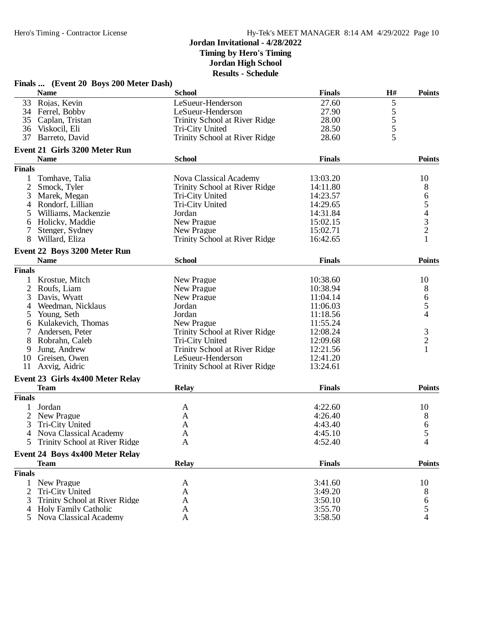# **Jordan Invitational - 4/28/2022 Timing by Hero's Timing Jordan High School**

**Results - Schedule**

|                | Finals  (Event 20 Boys 200 Meter Dash) |                               |               |               |                                            |
|----------------|----------------------------------------|-------------------------------|---------------|---------------|--------------------------------------------|
|                | <b>Name</b>                            | <b>School</b>                 | <b>Finals</b> | H#            | <b>Points</b>                              |
| 33             | Rojas, Kevin                           | LeSueur-Henderson             | 27.60         | 5             |                                            |
|                | 34 Ferrel, Bobby                       | LeSueur-Henderson             | 27.90         |               |                                            |
| 35             | Caplan, Tristan                        | Trinity School at River Ridge | 28.00         | $\frac{5}{5}$ |                                            |
| 36             | Viskocil, Eli                          | <b>Tri-City United</b>        | 28.50         |               |                                            |
| 37             | Barreto, David                         | Trinity School at River Ridge | 28.60         | 5             |                                            |
|                | <b>Event 21 Girls 3200 Meter Run</b>   |                               |               |               |                                            |
|                | <b>Name</b>                            | <b>School</b>                 | <b>Finals</b> |               | <b>Points</b>                              |
| <b>Finals</b>  |                                        |                               |               |               |                                            |
|                | Tomhave, Talia                         | Nova Classical Academy        | 13:03.20      |               | 10                                         |
| $\overline{2}$ | Smock, Tyler                           | Trinity School at River Ridge | 14:11.80      |               |                                            |
| 3              | Marek, Megan                           | Tri-City United               | 14:23.57      |               | $\begin{array}{c} 8 \\ 6 \\ 5 \end{array}$ |
|                |                                        |                               |               |               |                                            |
| 4              | Rondorf, Lillian                       | Tri-City United               | 14:29.65      |               |                                            |
| 5              | Williams, Mackenzie                    | Jordan                        | 14:31.84      |               | $\begin{array}{c} 4 \\ 3 \\ 2 \end{array}$ |
| 6              | Holicky, Maddie                        | New Prague                    | 15:02.15      |               |                                            |
| 7              | Stenger, Sydney                        | New Prague                    | 15:02.71      |               |                                            |
| 8              | Willard, Eliza                         | Trinity School at River Ridge | 16:42.65      |               |                                            |
|                | Event 22 Boys 3200 Meter Run           |                               |               |               |                                            |
|                | <b>Name</b>                            | <b>School</b>                 | <b>Finals</b> |               | <b>Points</b>                              |
| <b>Finals</b>  |                                        |                               |               |               |                                            |
|                | Krostue, Mitch                         | New Prague                    | 10:38.60      |               | 10                                         |
| $\overline{c}$ | Roufs, Liam                            | New Prague                    | 10:38.94      |               | 8                                          |
| 3              | Davis, Wyatt                           | New Prague                    | 11:04.14      |               | $\sqrt{6}$                                 |
| 4              | Weedman, Nicklaus                      | Jordan                        | 11:06.03      |               | 5                                          |
| 5              | Young, Seth                            | Jordan                        | 11:18.56      |               | 4                                          |
| 6              | Kulakevich, Thomas                     | New Prague                    | 11:55.24      |               |                                            |
|                | Andersen, Peter                        | Trinity School at River Ridge | 12:08.24      |               |                                            |
| 8              | Robrahn, Caleb                         | Tri-City United               | 12:09.68      |               | $\frac{3}{2}$                              |
| 9              | Jung, Andrew                           | Trinity School at River Ridge | 12:21.56      |               | $\mathbf{1}$                               |
| 10             |                                        | LeSueur-Henderson             | 12:41.20      |               |                                            |
| 11             | Greisen, Owen                          |                               | 13:24.61      |               |                                            |
|                | Axvig, Aidric                          | Trinity School at River Ridge |               |               |                                            |
|                | Event 23 Girls 4x400 Meter Relay       |                               |               |               |                                            |
|                | <b>Team</b>                            | <b>Relay</b>                  | <b>Finals</b> |               | <b>Points</b>                              |
| <b>Finals</b>  |                                        |                               |               |               |                                            |
|                | Jordan                                 | A                             | 4:22.60       |               | 10                                         |
| 2              | New Prague                             | A                             | 4:26.40       |               | 8                                          |
| 3              | Tri-City United                        | A                             | 4:43.40       |               | 6                                          |
|                | 4 Nova Classical Academy               | A                             | 4:45.10       |               | 5                                          |
| 5              | Trinity School at River Ridge          | A                             | 4:52.40       |               | 4                                          |
|                | <b>Event 24 Boys 4x400 Meter Relay</b> |                               |               |               |                                            |
|                | <b>Team</b>                            | <b>Relay</b>                  | <b>Finals</b> |               | <b>Points</b>                              |
| <b>Finals</b>  |                                        |                               |               |               |                                            |
| 1              | New Prague                             | A                             | 3:41.60       |               | 10                                         |
| 2              | Tri-City United                        | A                             | 3:49.20       |               | 8                                          |
| 3              | Trinity School at River Ridge          | A                             | 3:50.10       |               | 6                                          |
| 4              | <b>Holy Family Catholic</b>            | A                             | 3:55.70       |               | $\mathfrak s$                              |
| 5              | Nova Classical Academy                 | A                             | 3:58.50       |               | 4                                          |
|                |                                        |                               |               |               |                                            |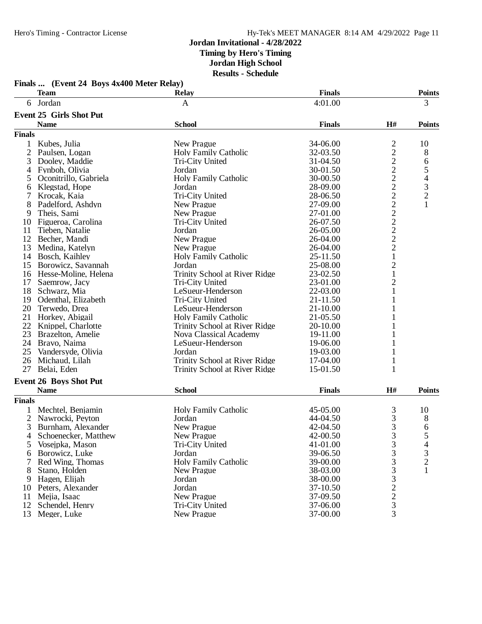| 6 Jordan<br>4:01.00<br>3<br>A<br><b>Event 25 Girls Shot Put</b><br><b>School</b><br>H#<br><b>Name</b><br><b>Finals</b><br><b>Finals</b><br>$\overline{c}$<br>10<br>Kubes, Julia<br>New Prague<br>34-06.00<br>1<br>$\overline{c}$<br>$\mathbf{2}$<br>$8\,$<br>Paulsen, Logan<br><b>Holy Family Catholic</b><br>32-03.50<br>$\frac{2}{2}$<br>3<br>6<br>Dooley, Maddie<br>Tri-City United<br>31-04.50<br>5<br>Fynboh, Olivia<br>Jordan<br>30-01.50<br>4<br>$\sqrt{2}$<br>$\begin{array}{c} 4 \\ 3 \\ 2 \end{array}$<br><b>Holy Family Catholic</b><br>Oconitrillo, Gabriela<br>30-00.50<br>5<br>$\overline{2}$<br>Klegstad, Hope<br>Jordan<br>28-09.00<br>6<br>$\overline{c}$<br>Tri-City United<br>28-06.50<br>7<br>Krocak, Kaia<br>$\overline{c}$<br>$\mathbf{1}$<br>8<br>27-09.00<br>Padelford, Ashdyn<br>New Prague<br>$\frac{2}{2}$<br>Theis, Sami<br>New Prague<br>27-01.00<br>9<br>Figueroa, Carolina<br>26-07.50<br>Tri-City United<br>10<br>$\overline{c}$<br>Jordan<br>26-05.00<br>11<br>Tieben, Natalie<br>$\overline{2}$<br>12<br>New Prague<br>26-04.00<br>Becher, Mandi<br>$\overline{2}$<br>13<br>26-04.00<br>Medina, Katelyn<br>New Prague<br>$\mathbf 1$<br>14<br>Bosch, Kaihley<br>Holy Family Catholic<br>25-11.50<br>$\mathbf{2}$<br>15<br>25-08.00<br>Borowicz, Savannah<br>Jordan<br>$\mathbf{1}$<br>Trinity School at River Ridge<br>23-02.50<br>16<br>Hesse-Moline, Helena<br>$\mathbf{2}$<br>23-01.00<br>17<br>Saemrow, Jacy<br>Tri-City United<br>18<br>22-03.00<br>1<br>Schwarz, Mia<br>LeSueur-Henderson<br>Odenthal, Elizabeth<br>Tri-City United<br>21-11.50<br>19<br>1<br>20<br>$21 - 10.00$<br>Terwedo, Drea<br>LeSueur-Henderson<br>1<br>21 Horkey, Abigail<br>21-05.50<br><b>Holy Family Catholic</b><br>22 Knippel, Charlotte<br>Trinity School at River Ridge<br>20-10.00<br>23<br>Nova Classical Academy<br>Brazelton, Amelie<br>19-11.00<br>24<br>Bravo, Naima<br>LeSueur-Henderson<br>19-06.00<br>1<br>25<br>Jordan<br>Vandersyde, Olivia<br>19-03.00<br>1<br>26<br>Trinity School at River Ridge<br>Michaud, Lilah<br>17-04.00<br>1<br>27<br>Belai, Eden<br>15-01.50<br>Trinity School at River Ridge<br>1<br><b>Event 26 Boys Shot Put</b><br><b>School</b><br><b>Name</b><br><b>Finals</b><br>H#<br><b>Finals</b><br><b>Holy Family Catholic</b><br>3<br>Mechtel, Benjamin<br>45-05.00<br>10<br>$\mathfrak{Z}$<br>Nawrocki, Peyton<br>Jordan<br>44-04.50<br>8<br>$\overline{2}$<br>3<br>3<br>6<br>New Prague<br>42-04.50<br>Burnham, Alexander<br>3<br>Schoenecker, Matthew<br>New Prague<br>42-00.50<br>5<br>4<br>3<br>41-01.00<br>4<br>5<br>Vosejpka, Mason<br>Tri-City United<br>$\frac{3}{2}$<br>Borowicz, Luke<br>39-06.50<br>3<br>Jordan<br>6<br>3<br><b>Holy Family Catholic</b><br>Red Wing, Thomas<br>39-00.00<br>3<br>$\mathbf{1}$<br>38-03.00<br>8<br>Stano, Holden<br>New Prague<br>$\mathfrak{Z}$<br>Hagen, Elijah<br>Jordan<br>38-00.00<br>9<br>$\overline{c}$<br>Peters, Alexander<br>Jordan<br>37-10.50<br>10<br>$\overline{c}$<br>37-09.50<br>11<br>Mejia, Isaac<br>New Prague<br>3<br>12<br>Schendel, Henry<br>Tri-City United<br>37-06.00<br>3<br>13<br>Meger, Luke<br>37-00.00<br>New Prague | Finals  (Event 24 Boys 4x400 Meter Relay) |              |               |               |
|---------------------------------------------------------------------------------------------------------------------------------------------------------------------------------------------------------------------------------------------------------------------------------------------------------------------------------------------------------------------------------------------------------------------------------------------------------------------------------------------------------------------------------------------------------------------------------------------------------------------------------------------------------------------------------------------------------------------------------------------------------------------------------------------------------------------------------------------------------------------------------------------------------------------------------------------------------------------------------------------------------------------------------------------------------------------------------------------------------------------------------------------------------------------------------------------------------------------------------------------------------------------------------------------------------------------------------------------------------------------------------------------------------------------------------------------------------------------------------------------------------------------------------------------------------------------------------------------------------------------------------------------------------------------------------------------------------------------------------------------------------------------------------------------------------------------------------------------------------------------------------------------------------------------------------------------------------------------------------------------------------------------------------------------------------------------------------------------------------------------------------------------------------------------------------------------------------------------------------------------------------------------------------------------------------------------------------------------------------------------------------------------------------------------------------------------------------------------------------------------------------------------------------------------------------------------------------------------------------------------------------------------------------------------------------------------------------------------------------------------------------------------------------------------------------------------------------------------------------------------------------------------------------------------------------------------------------------------------------------------------------------------------------------------------------------------------------------------------------------------------------------------------------|-------------------------------------------|--------------|---------------|---------------|
|                                                                                                                                                                                                                                                                                                                                                                                                                                                                                                                                                                                                                                                                                                                                                                                                                                                                                                                                                                                                                                                                                                                                                                                                                                                                                                                                                                                                                                                                                                                                                                                                                                                                                                                                                                                                                                                                                                                                                                                                                                                                                                                                                                                                                                                                                                                                                                                                                                                                                                                                                                                                                                                                                                                                                                                                                                                                                                                                                                                                                                                                                                                                                         | <b>Team</b>                               | <b>Relay</b> | <b>Finals</b> | <b>Points</b> |
|                                                                                                                                                                                                                                                                                                                                                                                                                                                                                                                                                                                                                                                                                                                                                                                                                                                                                                                                                                                                                                                                                                                                                                                                                                                                                                                                                                                                                                                                                                                                                                                                                                                                                                                                                                                                                                                                                                                                                                                                                                                                                                                                                                                                                                                                                                                                                                                                                                                                                                                                                                                                                                                                                                                                                                                                                                                                                                                                                                                                                                                                                                                                                         |                                           |              |               |               |
|                                                                                                                                                                                                                                                                                                                                                                                                                                                                                                                                                                                                                                                                                                                                                                                                                                                                                                                                                                                                                                                                                                                                                                                                                                                                                                                                                                                                                                                                                                                                                                                                                                                                                                                                                                                                                                                                                                                                                                                                                                                                                                                                                                                                                                                                                                                                                                                                                                                                                                                                                                                                                                                                                                                                                                                                                                                                                                                                                                                                                                                                                                                                                         |                                           |              |               |               |
|                                                                                                                                                                                                                                                                                                                                                                                                                                                                                                                                                                                                                                                                                                                                                                                                                                                                                                                                                                                                                                                                                                                                                                                                                                                                                                                                                                                                                                                                                                                                                                                                                                                                                                                                                                                                                                                                                                                                                                                                                                                                                                                                                                                                                                                                                                                                                                                                                                                                                                                                                                                                                                                                                                                                                                                                                                                                                                                                                                                                                                                                                                                                                         |                                           |              |               | <b>Points</b> |
|                                                                                                                                                                                                                                                                                                                                                                                                                                                                                                                                                                                                                                                                                                                                                                                                                                                                                                                                                                                                                                                                                                                                                                                                                                                                                                                                                                                                                                                                                                                                                                                                                                                                                                                                                                                                                                                                                                                                                                                                                                                                                                                                                                                                                                                                                                                                                                                                                                                                                                                                                                                                                                                                                                                                                                                                                                                                                                                                                                                                                                                                                                                                                         |                                           |              |               |               |
|                                                                                                                                                                                                                                                                                                                                                                                                                                                                                                                                                                                                                                                                                                                                                                                                                                                                                                                                                                                                                                                                                                                                                                                                                                                                                                                                                                                                                                                                                                                                                                                                                                                                                                                                                                                                                                                                                                                                                                                                                                                                                                                                                                                                                                                                                                                                                                                                                                                                                                                                                                                                                                                                                                                                                                                                                                                                                                                                                                                                                                                                                                                                                         |                                           |              |               |               |
|                                                                                                                                                                                                                                                                                                                                                                                                                                                                                                                                                                                                                                                                                                                                                                                                                                                                                                                                                                                                                                                                                                                                                                                                                                                                                                                                                                                                                                                                                                                                                                                                                                                                                                                                                                                                                                                                                                                                                                                                                                                                                                                                                                                                                                                                                                                                                                                                                                                                                                                                                                                                                                                                                                                                                                                                                                                                                                                                                                                                                                                                                                                                                         |                                           |              |               |               |
|                                                                                                                                                                                                                                                                                                                                                                                                                                                                                                                                                                                                                                                                                                                                                                                                                                                                                                                                                                                                                                                                                                                                                                                                                                                                                                                                                                                                                                                                                                                                                                                                                                                                                                                                                                                                                                                                                                                                                                                                                                                                                                                                                                                                                                                                                                                                                                                                                                                                                                                                                                                                                                                                                                                                                                                                                                                                                                                                                                                                                                                                                                                                                         |                                           |              |               |               |
|                                                                                                                                                                                                                                                                                                                                                                                                                                                                                                                                                                                                                                                                                                                                                                                                                                                                                                                                                                                                                                                                                                                                                                                                                                                                                                                                                                                                                                                                                                                                                                                                                                                                                                                                                                                                                                                                                                                                                                                                                                                                                                                                                                                                                                                                                                                                                                                                                                                                                                                                                                                                                                                                                                                                                                                                                                                                                                                                                                                                                                                                                                                                                         |                                           |              |               |               |
|                                                                                                                                                                                                                                                                                                                                                                                                                                                                                                                                                                                                                                                                                                                                                                                                                                                                                                                                                                                                                                                                                                                                                                                                                                                                                                                                                                                                                                                                                                                                                                                                                                                                                                                                                                                                                                                                                                                                                                                                                                                                                                                                                                                                                                                                                                                                                                                                                                                                                                                                                                                                                                                                                                                                                                                                                                                                                                                                                                                                                                                                                                                                                         |                                           |              |               |               |
|                                                                                                                                                                                                                                                                                                                                                                                                                                                                                                                                                                                                                                                                                                                                                                                                                                                                                                                                                                                                                                                                                                                                                                                                                                                                                                                                                                                                                                                                                                                                                                                                                                                                                                                                                                                                                                                                                                                                                                                                                                                                                                                                                                                                                                                                                                                                                                                                                                                                                                                                                                                                                                                                                                                                                                                                                                                                                                                                                                                                                                                                                                                                                         |                                           |              |               |               |
|                                                                                                                                                                                                                                                                                                                                                                                                                                                                                                                                                                                                                                                                                                                                                                                                                                                                                                                                                                                                                                                                                                                                                                                                                                                                                                                                                                                                                                                                                                                                                                                                                                                                                                                                                                                                                                                                                                                                                                                                                                                                                                                                                                                                                                                                                                                                                                                                                                                                                                                                                                                                                                                                                                                                                                                                                                                                                                                                                                                                                                                                                                                                                         |                                           |              |               |               |
|                                                                                                                                                                                                                                                                                                                                                                                                                                                                                                                                                                                                                                                                                                                                                                                                                                                                                                                                                                                                                                                                                                                                                                                                                                                                                                                                                                                                                                                                                                                                                                                                                                                                                                                                                                                                                                                                                                                                                                                                                                                                                                                                                                                                                                                                                                                                                                                                                                                                                                                                                                                                                                                                                                                                                                                                                                                                                                                                                                                                                                                                                                                                                         |                                           |              |               |               |
|                                                                                                                                                                                                                                                                                                                                                                                                                                                                                                                                                                                                                                                                                                                                                                                                                                                                                                                                                                                                                                                                                                                                                                                                                                                                                                                                                                                                                                                                                                                                                                                                                                                                                                                                                                                                                                                                                                                                                                                                                                                                                                                                                                                                                                                                                                                                                                                                                                                                                                                                                                                                                                                                                                                                                                                                                                                                                                                                                                                                                                                                                                                                                         |                                           |              |               |               |
|                                                                                                                                                                                                                                                                                                                                                                                                                                                                                                                                                                                                                                                                                                                                                                                                                                                                                                                                                                                                                                                                                                                                                                                                                                                                                                                                                                                                                                                                                                                                                                                                                                                                                                                                                                                                                                                                                                                                                                                                                                                                                                                                                                                                                                                                                                                                                                                                                                                                                                                                                                                                                                                                                                                                                                                                                                                                                                                                                                                                                                                                                                                                                         |                                           |              |               |               |
|                                                                                                                                                                                                                                                                                                                                                                                                                                                                                                                                                                                                                                                                                                                                                                                                                                                                                                                                                                                                                                                                                                                                                                                                                                                                                                                                                                                                                                                                                                                                                                                                                                                                                                                                                                                                                                                                                                                                                                                                                                                                                                                                                                                                                                                                                                                                                                                                                                                                                                                                                                                                                                                                                                                                                                                                                                                                                                                                                                                                                                                                                                                                                         |                                           |              |               |               |
|                                                                                                                                                                                                                                                                                                                                                                                                                                                                                                                                                                                                                                                                                                                                                                                                                                                                                                                                                                                                                                                                                                                                                                                                                                                                                                                                                                                                                                                                                                                                                                                                                                                                                                                                                                                                                                                                                                                                                                                                                                                                                                                                                                                                                                                                                                                                                                                                                                                                                                                                                                                                                                                                                                                                                                                                                                                                                                                                                                                                                                                                                                                                                         |                                           |              |               |               |
|                                                                                                                                                                                                                                                                                                                                                                                                                                                                                                                                                                                                                                                                                                                                                                                                                                                                                                                                                                                                                                                                                                                                                                                                                                                                                                                                                                                                                                                                                                                                                                                                                                                                                                                                                                                                                                                                                                                                                                                                                                                                                                                                                                                                                                                                                                                                                                                                                                                                                                                                                                                                                                                                                                                                                                                                                                                                                                                                                                                                                                                                                                                                                         |                                           |              |               |               |
|                                                                                                                                                                                                                                                                                                                                                                                                                                                                                                                                                                                                                                                                                                                                                                                                                                                                                                                                                                                                                                                                                                                                                                                                                                                                                                                                                                                                                                                                                                                                                                                                                                                                                                                                                                                                                                                                                                                                                                                                                                                                                                                                                                                                                                                                                                                                                                                                                                                                                                                                                                                                                                                                                                                                                                                                                                                                                                                                                                                                                                                                                                                                                         |                                           |              |               |               |
|                                                                                                                                                                                                                                                                                                                                                                                                                                                                                                                                                                                                                                                                                                                                                                                                                                                                                                                                                                                                                                                                                                                                                                                                                                                                                                                                                                                                                                                                                                                                                                                                                                                                                                                                                                                                                                                                                                                                                                                                                                                                                                                                                                                                                                                                                                                                                                                                                                                                                                                                                                                                                                                                                                                                                                                                                                                                                                                                                                                                                                                                                                                                                         |                                           |              |               |               |
|                                                                                                                                                                                                                                                                                                                                                                                                                                                                                                                                                                                                                                                                                                                                                                                                                                                                                                                                                                                                                                                                                                                                                                                                                                                                                                                                                                                                                                                                                                                                                                                                                                                                                                                                                                                                                                                                                                                                                                                                                                                                                                                                                                                                                                                                                                                                                                                                                                                                                                                                                                                                                                                                                                                                                                                                                                                                                                                                                                                                                                                                                                                                                         |                                           |              |               |               |
|                                                                                                                                                                                                                                                                                                                                                                                                                                                                                                                                                                                                                                                                                                                                                                                                                                                                                                                                                                                                                                                                                                                                                                                                                                                                                                                                                                                                                                                                                                                                                                                                                                                                                                                                                                                                                                                                                                                                                                                                                                                                                                                                                                                                                                                                                                                                                                                                                                                                                                                                                                                                                                                                                                                                                                                                                                                                                                                                                                                                                                                                                                                                                         |                                           |              |               |               |
|                                                                                                                                                                                                                                                                                                                                                                                                                                                                                                                                                                                                                                                                                                                                                                                                                                                                                                                                                                                                                                                                                                                                                                                                                                                                                                                                                                                                                                                                                                                                                                                                                                                                                                                                                                                                                                                                                                                                                                                                                                                                                                                                                                                                                                                                                                                                                                                                                                                                                                                                                                                                                                                                                                                                                                                                                                                                                                                                                                                                                                                                                                                                                         |                                           |              |               |               |
|                                                                                                                                                                                                                                                                                                                                                                                                                                                                                                                                                                                                                                                                                                                                                                                                                                                                                                                                                                                                                                                                                                                                                                                                                                                                                                                                                                                                                                                                                                                                                                                                                                                                                                                                                                                                                                                                                                                                                                                                                                                                                                                                                                                                                                                                                                                                                                                                                                                                                                                                                                                                                                                                                                                                                                                                                                                                                                                                                                                                                                                                                                                                                         |                                           |              |               |               |
|                                                                                                                                                                                                                                                                                                                                                                                                                                                                                                                                                                                                                                                                                                                                                                                                                                                                                                                                                                                                                                                                                                                                                                                                                                                                                                                                                                                                                                                                                                                                                                                                                                                                                                                                                                                                                                                                                                                                                                                                                                                                                                                                                                                                                                                                                                                                                                                                                                                                                                                                                                                                                                                                                                                                                                                                                                                                                                                                                                                                                                                                                                                                                         |                                           |              |               |               |
|                                                                                                                                                                                                                                                                                                                                                                                                                                                                                                                                                                                                                                                                                                                                                                                                                                                                                                                                                                                                                                                                                                                                                                                                                                                                                                                                                                                                                                                                                                                                                                                                                                                                                                                                                                                                                                                                                                                                                                                                                                                                                                                                                                                                                                                                                                                                                                                                                                                                                                                                                                                                                                                                                                                                                                                                                                                                                                                                                                                                                                                                                                                                                         |                                           |              |               |               |
|                                                                                                                                                                                                                                                                                                                                                                                                                                                                                                                                                                                                                                                                                                                                                                                                                                                                                                                                                                                                                                                                                                                                                                                                                                                                                                                                                                                                                                                                                                                                                                                                                                                                                                                                                                                                                                                                                                                                                                                                                                                                                                                                                                                                                                                                                                                                                                                                                                                                                                                                                                                                                                                                                                                                                                                                                                                                                                                                                                                                                                                                                                                                                         |                                           |              |               |               |
|                                                                                                                                                                                                                                                                                                                                                                                                                                                                                                                                                                                                                                                                                                                                                                                                                                                                                                                                                                                                                                                                                                                                                                                                                                                                                                                                                                                                                                                                                                                                                                                                                                                                                                                                                                                                                                                                                                                                                                                                                                                                                                                                                                                                                                                                                                                                                                                                                                                                                                                                                                                                                                                                                                                                                                                                                                                                                                                                                                                                                                                                                                                                                         |                                           |              |               |               |
|                                                                                                                                                                                                                                                                                                                                                                                                                                                                                                                                                                                                                                                                                                                                                                                                                                                                                                                                                                                                                                                                                                                                                                                                                                                                                                                                                                                                                                                                                                                                                                                                                                                                                                                                                                                                                                                                                                                                                                                                                                                                                                                                                                                                                                                                                                                                                                                                                                                                                                                                                                                                                                                                                                                                                                                                                                                                                                                                                                                                                                                                                                                                                         |                                           |              |               |               |
|                                                                                                                                                                                                                                                                                                                                                                                                                                                                                                                                                                                                                                                                                                                                                                                                                                                                                                                                                                                                                                                                                                                                                                                                                                                                                                                                                                                                                                                                                                                                                                                                                                                                                                                                                                                                                                                                                                                                                                                                                                                                                                                                                                                                                                                                                                                                                                                                                                                                                                                                                                                                                                                                                                                                                                                                                                                                                                                                                                                                                                                                                                                                                         |                                           |              |               |               |
|                                                                                                                                                                                                                                                                                                                                                                                                                                                                                                                                                                                                                                                                                                                                                                                                                                                                                                                                                                                                                                                                                                                                                                                                                                                                                                                                                                                                                                                                                                                                                                                                                                                                                                                                                                                                                                                                                                                                                                                                                                                                                                                                                                                                                                                                                                                                                                                                                                                                                                                                                                                                                                                                                                                                                                                                                                                                                                                                                                                                                                                                                                                                                         |                                           |              |               |               |
|                                                                                                                                                                                                                                                                                                                                                                                                                                                                                                                                                                                                                                                                                                                                                                                                                                                                                                                                                                                                                                                                                                                                                                                                                                                                                                                                                                                                                                                                                                                                                                                                                                                                                                                                                                                                                                                                                                                                                                                                                                                                                                                                                                                                                                                                                                                                                                                                                                                                                                                                                                                                                                                                                                                                                                                                                                                                                                                                                                                                                                                                                                                                                         |                                           |              |               |               |
|                                                                                                                                                                                                                                                                                                                                                                                                                                                                                                                                                                                                                                                                                                                                                                                                                                                                                                                                                                                                                                                                                                                                                                                                                                                                                                                                                                                                                                                                                                                                                                                                                                                                                                                                                                                                                                                                                                                                                                                                                                                                                                                                                                                                                                                                                                                                                                                                                                                                                                                                                                                                                                                                                                                                                                                                                                                                                                                                                                                                                                                                                                                                                         |                                           |              |               |               |
|                                                                                                                                                                                                                                                                                                                                                                                                                                                                                                                                                                                                                                                                                                                                                                                                                                                                                                                                                                                                                                                                                                                                                                                                                                                                                                                                                                                                                                                                                                                                                                                                                                                                                                                                                                                                                                                                                                                                                                                                                                                                                                                                                                                                                                                                                                                                                                                                                                                                                                                                                                                                                                                                                                                                                                                                                                                                                                                                                                                                                                                                                                                                                         |                                           |              |               |               |
|                                                                                                                                                                                                                                                                                                                                                                                                                                                                                                                                                                                                                                                                                                                                                                                                                                                                                                                                                                                                                                                                                                                                                                                                                                                                                                                                                                                                                                                                                                                                                                                                                                                                                                                                                                                                                                                                                                                                                                                                                                                                                                                                                                                                                                                                                                                                                                                                                                                                                                                                                                                                                                                                                                                                                                                                                                                                                                                                                                                                                                                                                                                                                         |                                           |              |               | <b>Points</b> |
|                                                                                                                                                                                                                                                                                                                                                                                                                                                                                                                                                                                                                                                                                                                                                                                                                                                                                                                                                                                                                                                                                                                                                                                                                                                                                                                                                                                                                                                                                                                                                                                                                                                                                                                                                                                                                                                                                                                                                                                                                                                                                                                                                                                                                                                                                                                                                                                                                                                                                                                                                                                                                                                                                                                                                                                                                                                                                                                                                                                                                                                                                                                                                         |                                           |              |               |               |
|                                                                                                                                                                                                                                                                                                                                                                                                                                                                                                                                                                                                                                                                                                                                                                                                                                                                                                                                                                                                                                                                                                                                                                                                                                                                                                                                                                                                                                                                                                                                                                                                                                                                                                                                                                                                                                                                                                                                                                                                                                                                                                                                                                                                                                                                                                                                                                                                                                                                                                                                                                                                                                                                                                                                                                                                                                                                                                                                                                                                                                                                                                                                                         |                                           |              |               |               |
|                                                                                                                                                                                                                                                                                                                                                                                                                                                                                                                                                                                                                                                                                                                                                                                                                                                                                                                                                                                                                                                                                                                                                                                                                                                                                                                                                                                                                                                                                                                                                                                                                                                                                                                                                                                                                                                                                                                                                                                                                                                                                                                                                                                                                                                                                                                                                                                                                                                                                                                                                                                                                                                                                                                                                                                                                                                                                                                                                                                                                                                                                                                                                         |                                           |              |               |               |
|                                                                                                                                                                                                                                                                                                                                                                                                                                                                                                                                                                                                                                                                                                                                                                                                                                                                                                                                                                                                                                                                                                                                                                                                                                                                                                                                                                                                                                                                                                                                                                                                                                                                                                                                                                                                                                                                                                                                                                                                                                                                                                                                                                                                                                                                                                                                                                                                                                                                                                                                                                                                                                                                                                                                                                                                                                                                                                                                                                                                                                                                                                                                                         |                                           |              |               |               |
|                                                                                                                                                                                                                                                                                                                                                                                                                                                                                                                                                                                                                                                                                                                                                                                                                                                                                                                                                                                                                                                                                                                                                                                                                                                                                                                                                                                                                                                                                                                                                                                                                                                                                                                                                                                                                                                                                                                                                                                                                                                                                                                                                                                                                                                                                                                                                                                                                                                                                                                                                                                                                                                                                                                                                                                                                                                                                                                                                                                                                                                                                                                                                         |                                           |              |               |               |
|                                                                                                                                                                                                                                                                                                                                                                                                                                                                                                                                                                                                                                                                                                                                                                                                                                                                                                                                                                                                                                                                                                                                                                                                                                                                                                                                                                                                                                                                                                                                                                                                                                                                                                                                                                                                                                                                                                                                                                                                                                                                                                                                                                                                                                                                                                                                                                                                                                                                                                                                                                                                                                                                                                                                                                                                                                                                                                                                                                                                                                                                                                                                                         |                                           |              |               |               |
|                                                                                                                                                                                                                                                                                                                                                                                                                                                                                                                                                                                                                                                                                                                                                                                                                                                                                                                                                                                                                                                                                                                                                                                                                                                                                                                                                                                                                                                                                                                                                                                                                                                                                                                                                                                                                                                                                                                                                                                                                                                                                                                                                                                                                                                                                                                                                                                                                                                                                                                                                                                                                                                                                                                                                                                                                                                                                                                                                                                                                                                                                                                                                         |                                           |              |               |               |
|                                                                                                                                                                                                                                                                                                                                                                                                                                                                                                                                                                                                                                                                                                                                                                                                                                                                                                                                                                                                                                                                                                                                                                                                                                                                                                                                                                                                                                                                                                                                                                                                                                                                                                                                                                                                                                                                                                                                                                                                                                                                                                                                                                                                                                                                                                                                                                                                                                                                                                                                                                                                                                                                                                                                                                                                                                                                                                                                                                                                                                                                                                                                                         |                                           |              |               |               |
|                                                                                                                                                                                                                                                                                                                                                                                                                                                                                                                                                                                                                                                                                                                                                                                                                                                                                                                                                                                                                                                                                                                                                                                                                                                                                                                                                                                                                                                                                                                                                                                                                                                                                                                                                                                                                                                                                                                                                                                                                                                                                                                                                                                                                                                                                                                                                                                                                                                                                                                                                                                                                                                                                                                                                                                                                                                                                                                                                                                                                                                                                                                                                         |                                           |              |               |               |
|                                                                                                                                                                                                                                                                                                                                                                                                                                                                                                                                                                                                                                                                                                                                                                                                                                                                                                                                                                                                                                                                                                                                                                                                                                                                                                                                                                                                                                                                                                                                                                                                                                                                                                                                                                                                                                                                                                                                                                                                                                                                                                                                                                                                                                                                                                                                                                                                                                                                                                                                                                                                                                                                                                                                                                                                                                                                                                                                                                                                                                                                                                                                                         |                                           |              |               |               |
|                                                                                                                                                                                                                                                                                                                                                                                                                                                                                                                                                                                                                                                                                                                                                                                                                                                                                                                                                                                                                                                                                                                                                                                                                                                                                                                                                                                                                                                                                                                                                                                                                                                                                                                                                                                                                                                                                                                                                                                                                                                                                                                                                                                                                                                                                                                                                                                                                                                                                                                                                                                                                                                                                                                                                                                                                                                                                                                                                                                                                                                                                                                                                         |                                           |              |               |               |
|                                                                                                                                                                                                                                                                                                                                                                                                                                                                                                                                                                                                                                                                                                                                                                                                                                                                                                                                                                                                                                                                                                                                                                                                                                                                                                                                                                                                                                                                                                                                                                                                                                                                                                                                                                                                                                                                                                                                                                                                                                                                                                                                                                                                                                                                                                                                                                                                                                                                                                                                                                                                                                                                                                                                                                                                                                                                                                                                                                                                                                                                                                                                                         |                                           |              |               |               |
|                                                                                                                                                                                                                                                                                                                                                                                                                                                                                                                                                                                                                                                                                                                                                                                                                                                                                                                                                                                                                                                                                                                                                                                                                                                                                                                                                                                                                                                                                                                                                                                                                                                                                                                                                                                                                                                                                                                                                                                                                                                                                                                                                                                                                                                                                                                                                                                                                                                                                                                                                                                                                                                                                                                                                                                                                                                                                                                                                                                                                                                                                                                                                         |                                           |              |               |               |
|                                                                                                                                                                                                                                                                                                                                                                                                                                                                                                                                                                                                                                                                                                                                                                                                                                                                                                                                                                                                                                                                                                                                                                                                                                                                                                                                                                                                                                                                                                                                                                                                                                                                                                                                                                                                                                                                                                                                                                                                                                                                                                                                                                                                                                                                                                                                                                                                                                                                                                                                                                                                                                                                                                                                                                                                                                                                                                                                                                                                                                                                                                                                                         |                                           |              |               |               |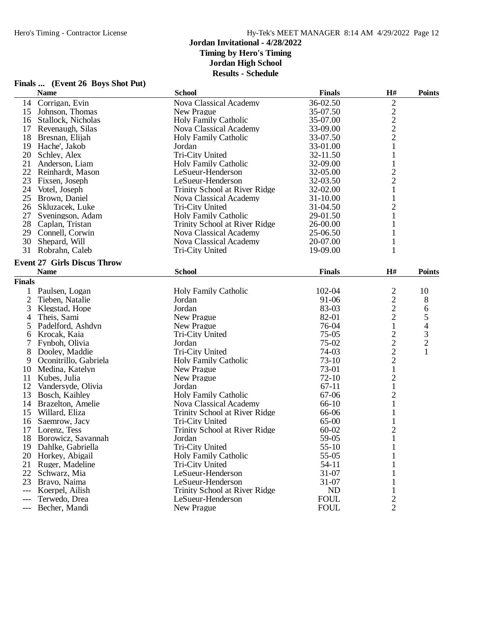|                | r mais  (Event 20 Doys Shot I at)<br><b>Name</b> | <b>School</b>                 | <b>Finals</b> | H#               | <b>Points</b>  |
|----------------|--------------------------------------------------|-------------------------------|---------------|------------------|----------------|
|                | 14 Corrigan, Evin                                | Nova Classical Academy        | 36-02.50      | 2                |                |
|                | 15 Johnson, Thomas                               | New Prague                    | 35-07.50      | $\boldsymbol{2}$ |                |
|                | 16 Stallock, Nicholas                            | Holy Family Catholic          | 35-07.00      | $\frac{2}{2}$    |                |
| 17             | Revenaugh, Silas                                 | Nova Classical Academy        | 33-09.00      |                  |                |
| 18             | Bresnan, Elijah                                  | <b>Holy Family Catholic</b>   | 33-07.50      | $\overline{c}$   |                |
|                | 19 Hache', Jakob                                 | Jordan                        | 33-01.00      | $\mathbf{1}$     |                |
|                | 20 Schley, Alex                                  | Tri-City United               | 32-11.50      | $\mathbf 1$      |                |
|                | 21 Anderson, Liam                                | Holy Family Catholic          | 32-09.00      | $\mathbf{1}$     |                |
|                | 22 Reinhardt, Mason                              | LeSueur-Henderson             | 32-05.00      | $\overline{c}$   |                |
| 23             | Fixsen, Joseph                                   | LeSueur-Henderson             | 32-03.50      | $\overline{2}$   |                |
|                | 24 Votel, Joseph                                 | Trinity School at River Ridge | 32-02.00      | $\mathbf{1}$     |                |
|                | 25 Brown, Daniel                                 | Nova Classical Academy        | 31-10.00      | $\mathbf{1}$     |                |
|                | 26 Skluzacek, Luke                               | Tri-City United               | 31-04.50      | $\overline{c}$   |                |
|                | 27 Sveningson, Adam                              | <b>Holy Family Catholic</b>   | 29-01.50      | $\mathbf{1}$     |                |
|                | 28 Caplan, Tristan                               | Trinity School at River Ridge | 26-00.00      |                  |                |
|                | 29 Connell, Corwin                               | Nova Classical Academy        | 25-06.50      | 1                |                |
| 30             | Shepard, Will                                    | Nova Classical Academy        | 20-07.00      | 1                |                |
| 31             | Robrahn, Caleb                                   | Tri-City United               | 19-09.00      | 1                |                |
|                | <b>Event 27 Girls Discus Throw</b>               |                               |               |                  |                |
|                | <b>Name</b>                                      | <b>School</b>                 | <b>Finals</b> | H#               | <b>Points</b>  |
| <b>Finals</b>  |                                                  |                               |               |                  |                |
| $\mathbf{1}$   | Paulsen, Logan                                   | <b>Holy Family Catholic</b>   | 102-04        | $\overline{c}$   | 10             |
| $\overline{2}$ | Tieben, Natalie                                  | Jordan                        | 91-06         | $\overline{c}$   | 8              |
| 3              | Klegstad, Hope                                   | Jordan                        | 83-03         | $\overline{2}$   | 6              |
| 4              | Theis, Sami                                      | New Prague                    | 82-01         | $\overline{c}$   | $\mathfrak{S}$ |
| 5              | Padelford, Ashdyn                                | New Prague                    | 76-04         | $\mathbf{1}$     | 4              |
| 6              | Krocak, Kaia                                     | Tri-City United               | $75-05$       | $\overline{c}$   | $\mathfrak{Z}$ |
| 7              | Fynboh, Olivia                                   | Jordan                        | 75-02         | $\overline{c}$   | $\overline{c}$ |
| 8              | Dooley, Maddie                                   | Tri-City United               | 74-03         | $\overline{c}$   | 1              |
|                | Oconitrillo, Gabriela                            | <b>Holy Family Catholic</b>   | $73-10$       | $\overline{2}$   |                |
| 9              |                                                  |                               | 73-01         | $\mathbf{1}$     |                |
| 10             | Medina, Katelyn                                  | New Prague                    |               |                  |                |
| 11             | Kubes, Julia                                     | New Prague                    | $72-10$       | $\sqrt{2}$       |                |
| 12             | Vandersyde, Olivia                               | Jordan                        | $67-11$       | $\mathbf{1}$     |                |
| 13             | Bosch, Kaihley                                   | <b>Holy Family Catholic</b>   | 67-06         | $\overline{2}$   |                |
|                | 14 Brazelton, Amelie                             | Nova Classical Academy        | $66-10$       | 1                |                |
| 15             | Willard, Eliza                                   | Trinity School at River Ridge | 66-06         | 1                |                |
| 16             | Saemrow, Jacy                                    | Tri-City United               | 65-00         | $\mathbf 1$      |                |
|                | 17 Lorenz, Tess                                  | Trinity School at River Ridge | $60 - 02$     | $\overline{c}$   |                |
|                | 18 Borowicz, Savannah                            | Jordan                        | 59-05         | $\mathbf{1}$     |                |
| 19             | Dahlke, Gabriella                                | Tri-City United               | $55-10$       |                  |                |
| 20             | Horkey, Abigail                                  | <b>Holy Family Catholic</b>   | 55-05         |                  |                |
| 21             | Ruger, Madeline                                  | Tri-City United               | 54-11         |                  |                |
| 22             | Schwarz, Mia                                     | LeSueur-Henderson             | 31-07         |                  |                |
| 23             | Bravo, Naima                                     | LeSueur-Henderson             | 31-07         |                  |                |
| ---            | Koerpel, Ailish                                  | Trinity School at River Ridge | <b>ND</b>     |                  |                |
|                | Terwedo, Drea                                    | LeSueur-Henderson             | <b>FOUL</b>   | 2                |                |
|                | Becher, Mandi                                    | New Prague                    | <b>FOUL</b>   | $\overline{2}$   |                |

# **Finals ... (Event 26 Boys Shot Put)**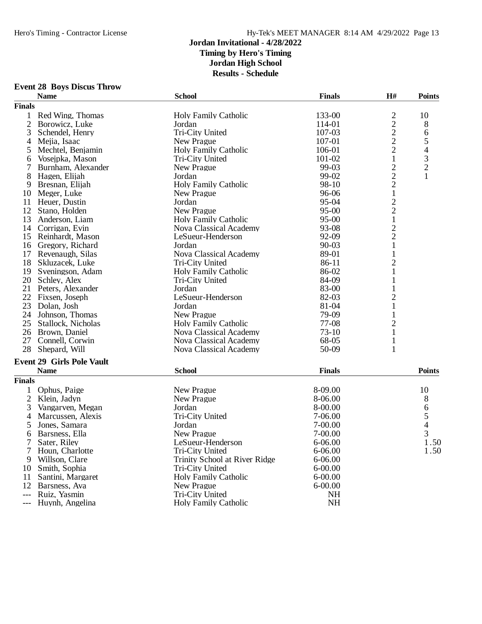# **Event 28 Boys Discus Throw**

|                | <b>Name</b>                      | <b>School</b>                 | <b>Finals</b> | H#             | <b>Points</b>                                   |
|----------------|----------------------------------|-------------------------------|---------------|----------------|-------------------------------------------------|
| <b>Finals</b>  |                                  |                               |               |                |                                                 |
| 1              | Red Wing, Thomas                 | <b>Holy Family Catholic</b>   | 133-00        |                | 10                                              |
| 2              | Borowicz, Luke                   | Jordan                        | 114-01        | $\frac{2}{2}$  | 8                                               |
| 3              | Schendel, Henry                  | Tri-City United               | 107-03        |                | 6                                               |
| 4              | Mejia, Isaac                     | New Prague                    | 107-01        | $\frac{2}{2}$  | 5                                               |
| 5              | Mechtel, Benjamin                | <b>Holy Family Catholic</b>   | 106-01        |                |                                                 |
| 6              | Vosejpka, Mason                  | Tri-City United               | 101-02        | $\mathbf{1}$   | $\begin{array}{c} 4 \\ 3 \\ 2 \\ 1 \end{array}$ |
| 7              | Burnham, Alexander               | New Prague                    | 99-03         |                |                                                 |
| 8              | Hagen, Elijah                    | Jordan                        | 99-02         |                |                                                 |
| 9              | Bresnan, Elijah                  | <b>Holy Family Catholic</b>   | 98-10         | $\frac{2}{2}$  |                                                 |
| 10             | Meger, Luke                      | New Prague                    | 96-06         | $\mathbf{1}$   |                                                 |
| 11             | Heuer, Dustin                    | Jordan                        | 95-04         |                |                                                 |
| 12             | Stano, Holden                    | New Prague                    | $95 - 00$     | $\frac{2}{2}$  |                                                 |
| 13             | Anderson, Liam                   | <b>Holy Family Catholic</b>   | $95 - 00$     | $\,1$          |                                                 |
|                | 14 Corrigan, Evin                | Nova Classical Academy        | 93-08         |                |                                                 |
| 15             | Reinhardt, Mason                 | LeSueur-Henderson             | 92-09         | $\frac{2}{2}$  |                                                 |
|                | 16 Gregory, Richard              | Jordan                        | $90 - 03$     | $\mathbf{1}$   |                                                 |
| 17             | Revenaugh, Silas                 | Nova Classical Academy        | 89-01         | 1              |                                                 |
|                | 18 Skluzacek, Luke               | Tri-City United               | 86-11         | $\overline{c}$ |                                                 |
|                | 19 Sveningson, Adam              | <b>Holy Family Catholic</b>   | 86-02         | $\mathbf 1$    |                                                 |
|                | 20 Schley, Alex                  | Tri-City United               | 84-09         | 1              |                                                 |
|                | 21 Peters, Alexander             | Jordan                        | 83-00         | 1              |                                                 |
| 22             | Fixsen, Joseph                   | LeSueur-Henderson             | 82-03         | $\overline{c}$ |                                                 |
| 23             | Dolan, Josh                      | Jordan                        | 81-04         | $\mathbf{1}$   |                                                 |
|                | 24 Johnson, Thomas               | New Prague                    | 79-09         | $\mathbf{1}$   |                                                 |
|                | 25 Stallock, Nicholas            | <b>Holy Family Catholic</b>   | 77-08         | $\overline{c}$ |                                                 |
|                | 26 Brown, Daniel                 | Nova Classical Academy        | $73-10$       | 1              |                                                 |
| 27             | Connell, Corwin                  | Nova Classical Academy        | 68-05         | 1              |                                                 |
| 28             | Shepard, Will                    | Nova Classical Academy        | 50-09         | 1              |                                                 |
|                |                                  |                               |               |                |                                                 |
|                | <b>Event 29 Girls Pole Vault</b> |                               |               |                |                                                 |
|                | <b>Name</b>                      | <b>School</b>                 | <b>Finals</b> |                | <b>Points</b>                                   |
| <b>Finals</b>  |                                  |                               |               |                |                                                 |
| 1              | Ophus, Paige                     | New Prague                    | 8-09.00       |                | 10                                              |
| $\mathfrak{2}$ | Klein, Jadyn                     | New Prague                    | 8-06.00       |                | 8                                               |
| 3              | Vangarven, Megan                 | Jordan                        | 8-00.00       |                | 6<br>5<br>4                                     |
| 4              | Marcussen, Alexis                | Tri-City United               | 7-06.00       |                |                                                 |
| 5              | Jones, Samara                    | Jordan                        | 7-00.00       |                |                                                 |
| 6              | Barsness, Ella                   | New Prague                    | 7-00.00       |                | 3                                               |
| 7              | Sater, Riley                     | LeSueur-Henderson             | $6 - 06.00$   |                | 1.50                                            |
| 7              | Houn, Charlotte                  | Tri-City United               | 6-06.00       |                | 1.50                                            |
| 9              | Willson, Clare                   | Trinity School at River Ridge | $6 - 06.00$   |                |                                                 |
| 10             | Smith, Sophia                    | Tri-City United               | $6 - 00.00$   |                |                                                 |
| 11             | Santini, Margaret                | <b>Holy Family Catholic</b>   | $6 - 00.00$   |                |                                                 |
| 12             | Barsness, Ava                    | New Prague                    | $6 - 00.00$   |                |                                                 |
| $---$          | Ruiz, Yasmin                     | Tri-City United               | <b>NH</b>     |                |                                                 |
| $---$          | Huynh, Angelina                  | Holy Family Catholic          | NH            |                |                                                 |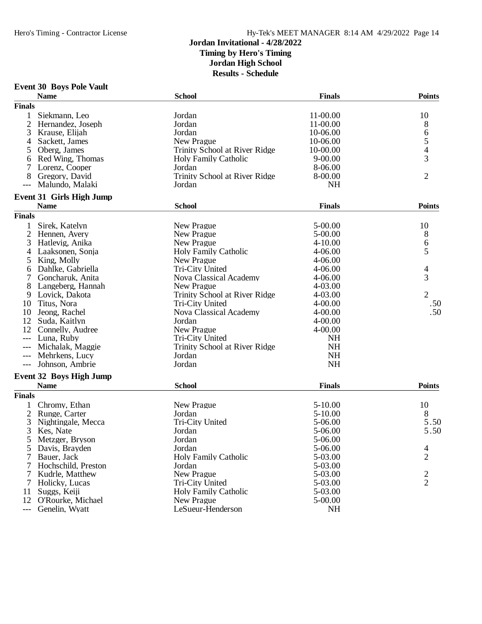# **Event 30 Boys Pole Vault**

|                | <b>Name</b>                     | <b>School</b>                 | <b>Finals</b> | <b>Points</b>                              |
|----------------|---------------------------------|-------------------------------|---------------|--------------------------------------------|
| <b>Finals</b>  |                                 |                               |               |                                            |
| 1              | Siekmann, Leo                   | Jordan                        | 11-00.00      | 10                                         |
| $\overline{2}$ | Hernandez, Joseph               | Jordan                        | 11-00.00      | 8                                          |
| 3              | Krause, Elijah                  | Jordan                        | 10-06.00      |                                            |
| 4              | Sackett, James                  | New Prague                    | 10-06.00      | $\begin{array}{c} 6 \\ 5 \\ 4 \end{array}$ |
| 5              | Oberg, James                    | Trinity School at River Ridge | 10-00.00      |                                            |
| 6              | Red Wing, Thomas                | <b>Holy Family Catholic</b>   | $9 - 00.00$   | 3                                          |
|                | Lorenz, Cooper                  | Jordan                        | 8-06.00       |                                            |
| 8              | Gregory, David                  | Trinity School at River Ridge | 8-00.00       | $\overline{2}$                             |
| $---$          | Malundo, Malaki                 | Jordan                        | <b>NH</b>     |                                            |
|                |                                 |                               |               |                                            |
|                | <b>Event 31 Girls High Jump</b> |                               |               |                                            |
|                | <b>Name</b>                     | <b>School</b>                 | <b>Finals</b> | <b>Points</b>                              |
| <b>Finals</b>  |                                 |                               |               |                                            |
|                | Sirek, Katelyn                  | New Prague                    | 5-00.00       | 10                                         |
| 2              | Hennen, Avery                   | New Prague                    | 5-00.00       | 8                                          |
| 3              | Hatlevig, Anika                 | New Prague                    | $4 - 10.00$   |                                            |
| 4              | Laaksonen, Sonja                | <b>Holy Family Catholic</b>   | 4-06.00       | $\begin{array}{c} 6 \\ 5 \end{array}$      |
| 5              | King, Molly                     | New Prague                    | 4-06.00       |                                            |
| 6              | Dahlke, Gabriella               | Tri-City United               | 4-06.00       | 4                                          |
| 7              | Goncharuk, Anita                | Nova Classical Academy        | 4-06.00       | 3                                          |
| 8              | Langeberg, Hannah               | New Prague                    | 4-03.00       |                                            |
| 9              | Lovick, Dakota                  | Trinity School at River Ridge | 4-03.00       | $\overline{2}$                             |
| 10             | Titus, Nora                     | Tri-City United               | $4 - 00.00$   | .50                                        |
| 10             | Jeong, Rachel                   | Nova Classical Academy        | 4-00.00       | .50                                        |
| 12             | Suda, Kaitlyn                   | Jordan                        | $4 - 00.00$   |                                            |
| 12             | Connelly, Audree                | New Prague                    | 4-00.00       |                                            |
|                | Luna, Ruby                      | Tri-City United               | <b>NH</b>     |                                            |
|                |                                 |                               | <b>NH</b>     |                                            |
| $---$          | Michalak, Maggie                | Trinity School at River Ridge | <b>NH</b>     |                                            |
| $---$          | Mehrkens, Lucy                  | Jordan                        |               |                                            |
| $---$          | Johnson, Ambrie                 | Jordan                        | <b>NH</b>     |                                            |
|                | <b>Event 32 Boys High Jump</b>  |                               |               |                                            |
|                | <b>Name</b>                     | <b>School</b>                 | <b>Finals</b> | <b>Points</b>                              |
| <b>Finals</b>  |                                 |                               |               |                                            |
|                | Chromy, Ethan                   | New Prague                    | 5-10.00       | 10                                         |
| 2              | Runge, Carter                   | Jordan                        | 5-10.00       | 8                                          |
| 3              | Nightingale, Mecca              | Tri-City United               | 5-06.00       | 5.50                                       |
| 3              | Kes, Nate                       | Jordan                        | 5-06.00       | 5.50                                       |
| 5              | Metzger, Bryson                 | Jordan                        | 5-06.00       |                                            |
| C              | Davis, Brayden                  | Jordan                        | 5-06.00       | $\overline{4}$                             |
| 7              | Bauer, Jack                     | <b>Holy Family Catholic</b>   | 5-03.00       | $\overline{2}$                             |
|                | Hochschild, Preston             | Jordan                        | 5-03.00       |                                            |
| 7              | Kudrle, Matthew                 | New Prague                    | 5-03.00       |                                            |
| 7              | Holicky, Lucas                  | Tri-City United               | 5-03.00       | $\frac{2}{2}$                              |
| 11             | Suggs, Keiji                    | <b>Holy Family Catholic</b>   | 5-03.00       |                                            |
| 12             | O'Rourke, Michael               | New Prague                    | 5-00.00       |                                            |
|                | Genelin, Wyatt                  | LeSueur-Henderson             | NH            |                                            |
|                |                                 |                               |               |                                            |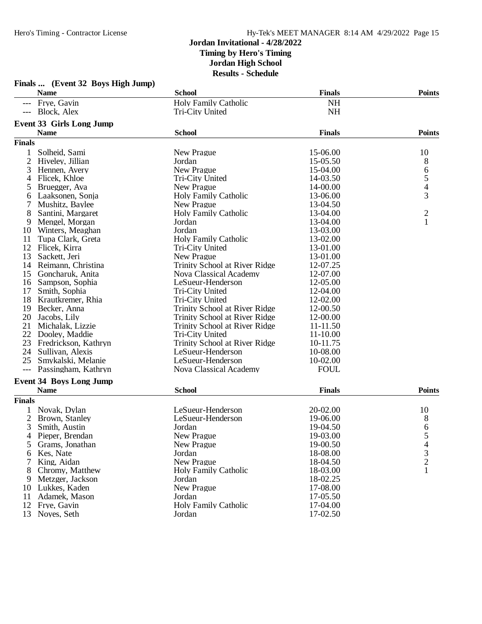|                | Finals  (Event 32 Boys High Jump) |                               |               |                            |
|----------------|-----------------------------------|-------------------------------|---------------|----------------------------|
|                | <b>Name</b>                       | <b>School</b>                 | <b>Finals</b> | <b>Points</b>              |
|                | --- Frye, Gavin                   | Holy Family Catholic          | <b>NH</b>     |                            |
|                | --- Block, Alex                   | Tri-City United               | <b>NH</b>     |                            |
|                | <b>Event 33 Girls Long Jump</b>   |                               |               |                            |
|                | <b>Name</b>                       | <b>School</b>                 | <b>Finals</b> | <b>Points</b>              |
| <b>Finals</b>  |                                   |                               |               |                            |
|                | Solheid, Sami                     | New Prague                    | 15-06.00      | 10                         |
| $\overline{c}$ | Hiveley, Jillian                  | Jordan                        | 15-05.50      | 8                          |
| 3              | Hennen, Avery                     | New Prague                    | 15-04.00      |                            |
| $\overline{4}$ | Flicek, Khloe                     | Tri-City United               | 14-03.50      |                            |
| 5              | Bruegger, Ava                     | New Prague                    | 14-00.00      | $rac{6}{5}$<br>$rac{4}{3}$ |
| 6              | Laaksonen, Sonja                  | <b>Holy Family Catholic</b>   | 13-06.00      |                            |
|                | Mushitz, Baylee                   | New Prague                    | 13-04.50      |                            |
| 8              | Santini, Margaret                 | <b>Holy Family Catholic</b>   | 13-04.00      |                            |
| 9              | Mengel, Morgan                    | Jordan                        | 13-04.00      | $\frac{2}{1}$              |
| 10             | Winters, Meaghan                  | Jordan                        | 13-03.00      |                            |
| 11             | Tupa Clark, Greta                 | <b>Holy Family Catholic</b>   | 13-02.00      |                            |
| 12             | Flicek, Kirra                     | Tri-City United               | 13-01.00      |                            |
| 13             | Sackett, Jeri                     | New Prague                    | 13-01.00      |                            |
| 14             | Reimann, Christina                | Trinity School at River Ridge | 12-07.25      |                            |
| 15             | Goncharuk, Anita                  | Nova Classical Academy        | 12-07.00      |                            |
| 16             | Sampson, Sophia                   | LeSueur-Henderson             | 12-05.00      |                            |
| 17             | Smith, Sophia                     | Tri-City United               | 12-04.00      |                            |
| 18             | Krautkremer, Rhia                 | Tri-City United               | 12-02.00      |                            |
| 19             | Becker, Anna                      | Trinity School at River Ridge | 12-00.50      |                            |
| 20             | Jacobs, Lily                      | Trinity School at River Ridge | 12-00.00      |                            |
| 21             | Michalak, Lizzie                  | Trinity School at River Ridge | 11-11.50      |                            |
| 22             | Dooley, Maddie                    | Tri-City United               | 11-10.00      |                            |
| 23             | Fredrickson, Kathryn              | Trinity School at River Ridge | 10-11.75      |                            |
| 24             | Sullivan, Alexis                  | LeSueur-Henderson             | 10-08.00      |                            |
| 25             | Smykalski, Melanie                | LeSueur-Henderson             | 10-02.00      |                            |
|                | Passingham, Kathryn               | Nova Classical Academy        | <b>FOUL</b>   |                            |
|                | <b>Event 34 Boys Long Jump</b>    |                               |               |                            |
|                | <b>Name</b>                       | <b>School</b>                 | <b>Finals</b> | <b>Points</b>              |
| <b>Finals</b>  |                                   |                               |               |                            |
| 1              | Novak, Dylan                      | LeSueur-Henderson             | 20-02.00      | 10                         |
| 2              | Brown, Stanley                    | LeSueur-Henderson             | 19-06.00      | 8                          |
| 3              | Smith, Austin                     | Jordan                        | 19-04.50      | 6                          |
| 4              | Pieper, Brendan                   | New Prague                    | 19-03.00      | 5                          |
| 5              | Grams, Jonathan                   | New Prague                    | 19-00.50      | $\overline{\mathcal{L}}$   |
| 6              | Kes, Nate                         | Jordan                        | 18-08.00      | 3                          |
|                | King, Aidan                       | New Prague                    | 18-04.50      | $\overline{c}$             |
|                | Chromy, Matthew                   | <b>Holy Family Catholic</b>   | 18-03.00      |                            |
| 9              | Metzger, Jackson                  | Jordan                        | 18-02.25      |                            |
| 10             | Lukkes, Kaden                     | New Prague                    | 17-08.00      |                            |
| 11             | Adamek, Mason                     | Jordan                        | 17-05.50      |                            |
| 12             | Frye, Gavin                       | <b>Holy Family Catholic</b>   | 17-04.00      |                            |
|                | 13 Noyes, Seth                    | Jordan                        | 17-02.50      |                            |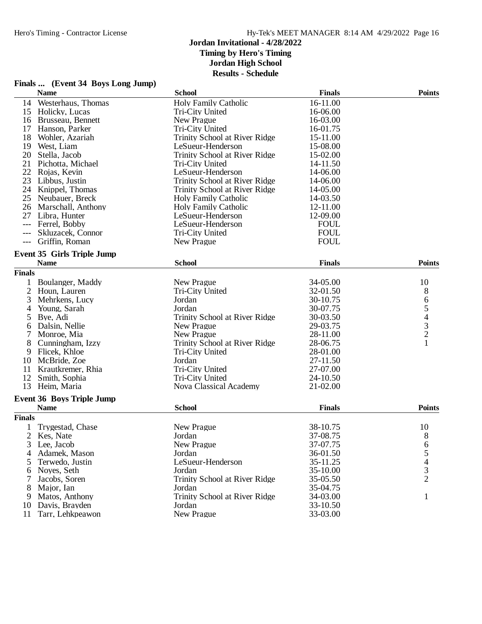| Finals  (Event 34 Boys Long Jump)                |                               |               |                                            |
|--------------------------------------------------|-------------------------------|---------------|--------------------------------------------|
| <b>Name</b>                                      | <b>School</b>                 | <b>Finals</b> | <b>Points</b>                              |
| 14 Westerhaus, Thomas                            | <b>Holy Family Catholic</b>   | 16-11.00      |                                            |
| 15 Holicky, Lucas                                | Tri-City United               | 16-06.00      |                                            |
| 16 Brusseau, Bennett                             | New Prague                    | 16-03.00      |                                            |
| Hanson, Parker<br>17                             | Tri-City United               | 16-01.75      |                                            |
| 18<br>Wohler, Azariah                            | Trinity School at River Ridge | 15-11.00      |                                            |
| 19<br>West, Liam                                 | LeSueur-Henderson             | 15-08.00      |                                            |
| 20<br>Stella, Jacob                              | Trinity School at River Ridge | 15-02.00      |                                            |
| Pichotta, Michael<br>21                          | Tri-City United               | 14-11.50      |                                            |
| 22<br>Rojas, Kevin                               | LeSueur-Henderson             | 14-06.00      |                                            |
| 23<br>Libbus, Justin                             | Trinity School at River Ridge | 14-06.00      |                                            |
| Knippel, Thomas<br>24                            | Trinity School at River Ridge | 14-05.00      |                                            |
| 25<br>Neubauer, Breck                            | <b>Holy Family Catholic</b>   | 14-03.50      |                                            |
| 26 Marschall, Anthony                            | <b>Holy Family Catholic</b>   | 12-11.00      |                                            |
| Libra, Hunter<br>27                              | LeSueur-Henderson             | 12-09.00      |                                            |
| Ferrel, Bobby                                    | LeSueur-Henderson             | <b>FOUL</b>   |                                            |
| Skluzacek, Connor<br>---                         | Tri-City United               | <b>FOUL</b>   |                                            |
| Griffin, Roman<br>$---$                          | New Prague                    | <b>FOUL</b>   |                                            |
|                                                  |                               |               |                                            |
| <b>Event 35 Girls Triple Jump</b><br><b>Name</b> | <b>School</b>                 | <b>Finals</b> | <b>Points</b>                              |
| <b>Finals</b>                                    |                               |               |                                            |
| Boulanger, Maddy                                 | New Prague                    | 34-05.00      |                                            |
| 1<br>$\overline{2}$                              | Tri-City United               | 32-01.50      | 10                                         |
| Houn, Lauren                                     |                               | 30-10.75      | 8                                          |
| 3<br>Mehrkens, Lucy                              | Jordan                        |               | $\begin{array}{c} 6 \\ 5 \end{array}$      |
| Young, Sarah<br>4                                | Jordan                        | 30-07.75      |                                            |
| Bye, Adi<br>5                                    | Trinity School at River Ridge | 30-03.50      | $\begin{array}{c} 4 \\ 3 \\ 2 \end{array}$ |
| Dalsin, Nellie<br>6                              | New Prague                    | 29-03.75      |                                            |
| 7<br>Monroe, Mia                                 | New Prague                    | 28-11.00      | $\mathbf{1}$                               |
| 8<br>Cunningham, Izzy                            | Trinity School at River Ridge | 28-06.75      |                                            |
| 9<br>Flicek, Khloe                               | Tri-City United               | 28-01.00      |                                            |
| 10<br>McBride, Zoe                               | Jordan                        | 27-11.50      |                                            |
| Krautkremer, Rhia<br>11                          | Tri-City United               | 27-07.00      |                                            |
| 12<br>Smith, Sophia                              | Tri-City United               | 24-10.50      |                                            |
| Heim, Maria<br>13                                | <b>Nova Classical Academy</b> | 21-02.00      |                                            |
| <b>Event 36 Boys Triple Jump</b>                 |                               |               |                                            |
| <b>Name</b>                                      | <b>School</b>                 | <b>Finals</b> | <b>Points</b>                              |
| <b>Finals</b>                                    |                               |               |                                            |
| Trygestad, Chase                                 | New Prague                    | 38-10.75      | 10                                         |
| 2<br>Kes, Nate                                   | Jordan                        | 37-08.75      | 8                                          |
| Lee, Jacob<br>3                                  | New Prague                    | 37-07.75      | 6                                          |
| Adamek, Mason<br>4                               | Jordan                        | 36-01.50      | 5                                          |
| Terwedo, Justin<br>5                             | LeSueur-Henderson             | 35-11.25      | 4                                          |
| Noyes, Seth<br>6                                 | Jordan                        | 35-10.00      | 3                                          |
| Jacobs, Soren<br>7                               | Trinity School at River Ridge | 35-05.50      | 2                                          |
| 8<br>Major, Ian                                  | Jordan                        | 35-04.75      |                                            |
| Matos, Anthony<br>9                              | Trinity School at River Ridge | 34-03.00      | 1                                          |
| 10 Davis, Brayden                                | Jordan                        | 33-10.50      |                                            |
| 11<br>Tarr, Lehkpeawon                           | New Prague                    | 33-03.00      |                                            |